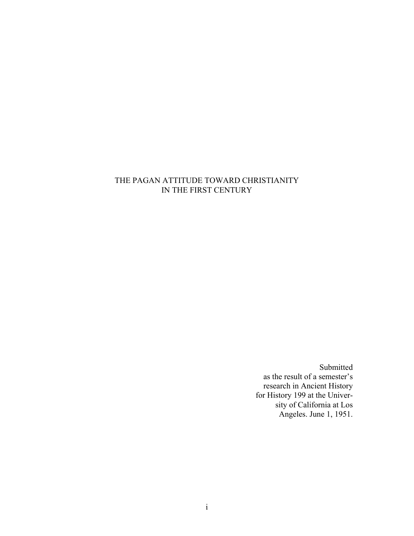### THE PAGAN ATTITUDE TOWARD CHRISTIANITY IN THE FIRST CENTURY

Submitted as the result of a semester's research in Ancient History for History 199 at the University of California at Los Angeles. June 1, 1951.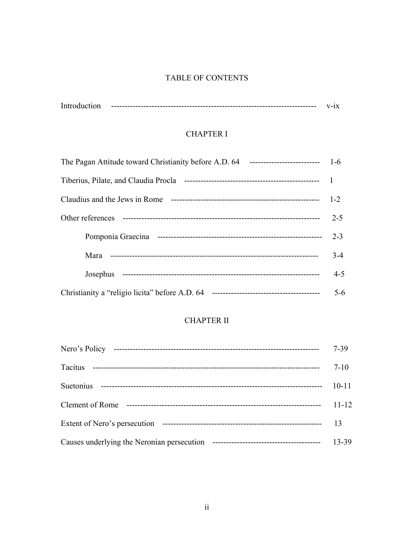### TABLE OF CONTENTS

| Introd |  |
|--------|--|
|        |  |

## **CHAPTER I**

| Claudius and the Jews in Rome | $1-2$   |
|-------------------------------|---------|
|                               | $2 - 5$ |
|                               | $2 - 3$ |
|                               | $3 - 4$ |
|                               | $4 - 5$ |
|                               | $5 - 6$ |

# **CHAPTER II**

|           | $7 - 39$  |
|-----------|-----------|
|           | $7 - 10$  |
| Suetonius | $10 - 11$ |
|           | $11 - 12$ |
|           | 13        |
|           | 13-39     |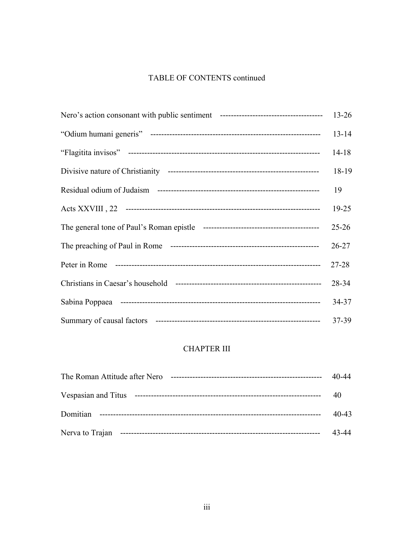# TABLE OF CONTENTS continued

| $14 - 18$ |
|-----------|
| 18-19     |
|           |
| $19 - 25$ |
| $25 - 26$ |
| $26 - 27$ |
|           |
| 28-34     |
| 34-37     |
|           |

# **CHAPTER III**

| The Roman Attitude after Nero | $40 - 44$ |
|-------------------------------|-----------|
|                               |           |
|                               | $40 - 43$ |
| Nerva to Trajan               | 43-44     |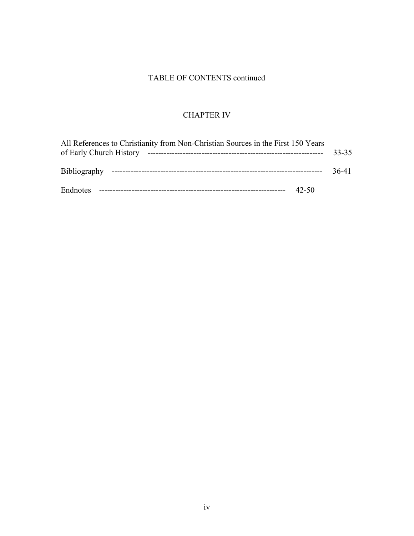## TABLE OF CONTENTS continued

## CHAPTER IV

| All References to Christianity from Non-Christian Sources in the First 150 Years |       |       |
|----------------------------------------------------------------------------------|-------|-------|
|                                                                                  |       | 36-41 |
| Endnotes                                                                         | 42-50 |       |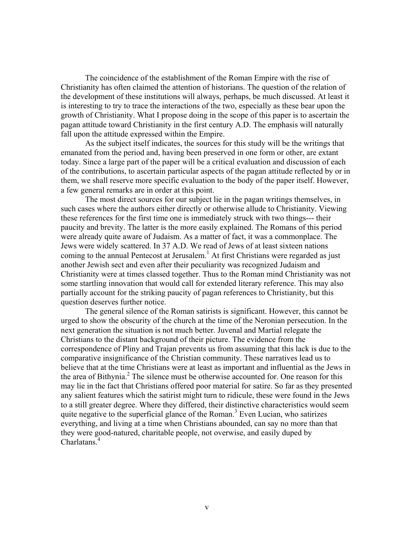The coincidence of the establishment of the Roman Empire with the rise of Christianity has often claimed the attention of historians. The question of the relation of the development of these institutions will always, perhaps, be much discussed. At least it is interesting to try to trace the interactions of the two, especially as these bear upon the growth of Christianity. What I propose doing in the scope of this paper is to ascertain the pagan attitude toward Christianity in the first century A.D. The emphasis will naturally fall upon the attitude expressed within the Empire.

As the subject itself indicates, the sources for this study will be the writings that emanated from the period and, having been preserved in one form or other, are extant today. Since a large part of the paper will be a critical evaluation and discussion of each of the contributions, to ascertain particular aspects of the pagan attitude reflected by or in them, we shall reserve more specific evaluation to the body of the paper itself. However, a few general remarks are in order at this point.

The most direct sources for our subject lie in the pagan writings themselves, in such cases where the authors either directly or otherwise allude to Christianity. Viewing these references for the first time one is immediately struck with two things--- their paucity and brevity. The latter is the more easily explained. The Romans of this period were already quite aware of Judaism. As a matter of fact, it was a commonplace. The Jews were widely scattered. In 37 A.D. We read of Jews of at least sixteen nations coming to the annual Pentecost at Jerusalem.<sup>[1](#page-47-0)</sup> At first Christians were regarded as just another Jewish sect and even after their peculiarity was recognized Judaism and Christianity were at times classed together. Thus to the Roman mind Christianity was not some startling innovation that would call for extended literary reference. This may also partially account for the striking paucity of pagan references to Christianity, but this question deserves further notice.

The general silence of the Roman satirists is significant. However, this cannot be urged to show the obscurity of the church at the time of the Neronian persecution. In the next generation the situation is not much better. Juvenal and Martial relegate the Christians to the distant background of their picture. The evidence from the correspondence of Pliny and Trajan prevents us from assuming that this lack is due to the comparative insignificance of the Christian community. These narratives lead us to believe that at the time Christians were at least as important and influential as the Jews in the area of Bithynia. $<sup>2</sup>$  The silence must be otherwise accounted for. One reason for this</sup> may lie in the fact that Christians offered poor material for satire. So far as they presented any salient features which the satirist might turn to ridicule, these were found in the Jews to a still greater degree. Where they differed, their distinctive characteristics would seem quite negative to the superficial glance of the Roman.<sup>[3](#page-47-2)</sup> Even Lucian, who satirizes everything, and living at a time when Christians abounded, can say no more than that they were good-natured, charitable people, not overwise, and easily duped by Charlatans<sup>[4](#page-47-3)</sup>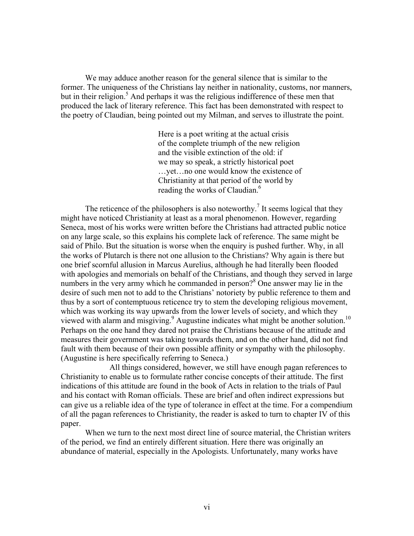We may adduce another reason for the general silence that is similar to the former. The uniqueness of the Christians lay neither in nationality, customs, nor manners, but in their religion.<sup>5</sup> And perhaps it was the religious indifference of these men that produced the lack of literary reference. This fact has been demonstrated with respect to the poetry of Claudian, being pointed out my Milman, and serves to illustrate the point.

> Here is a poet writing at the actual crisis of the complete triumph of the new religion and the visible extinction of the old: if we may so speak, a strictly historical poet …yet…no one would know the existence of Christianity at that period of the world by reading the works of Claudian.<sup>[6](#page-47-5)</sup>

The reticence of the philosophers is also noteworthy.<sup>[7](#page-47-6)</sup> It seems logical that they might have noticed Christianity at least as a moral phenomenon. However, regarding Seneca, most of his works were written before the Christians had attracted public notice on any large scale, so this explains his complete lack of reference. The same might be said of Philo. But the situation is worse when the enquiry is pushed further. Why, in all the works of Plutarch is there not one allusion to the Christians? Why again is there but one brief scornful allusion in Marcus Aurelius, although he had literally been flooded with apologies and memorials on behalf of the Christians, and though they served in large numbersin the very army which he commanded in person?<sup>8</sup> One answer may lie in the desire of such men not to add to the Christians' notoriety by public reference to them and thus by a sort of contemptuous reticence try to stem the developing religious movement, which was working its way upwards from the lower levels of society, and which they viewed with alarm and misgiving.<sup>[9](#page-47-8)</sup> Augustine indicates what might be another solution.<sup>10</sup> Perhaps on the one hand they dared not praise the Christians because of the attitude and measures their government was taking towards them, and on the other hand, did not find fault with them because of their own possible affinity or sympathy with the philosophy. (Augustine is here specifically referring to Seneca.)

All things considered, however, we still have enough pagan references to Christianity to enable us to formulate rather concise concepts of their attitude. The first indications of this attitude are found in the book of Acts in relation to the trials of Paul and his contact with Roman officials. These are brief and often indirect expressions but can give us a reliable idea of the type of tolerance in effect at the time. For a compendium of all the pagan references to Christianity, the reader is asked to turn to chapter IV of this paper.

When we turn to the next most direct line of source material, the Christian writers of the period, we find an entirely different situation. Here there was originally an abundance of material, especially in the Apologists. Unfortunately, many works have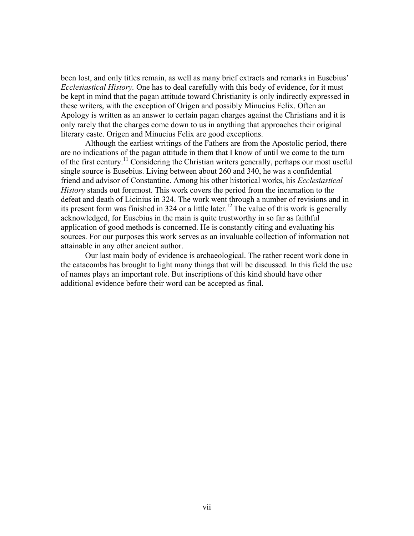been lost, and only titles remain, as well as many brief extracts and remarks in Eusebius' *Ecclesiastical History.* One has to deal carefully with this body of evidence, for it must be kept in mind that the pagan attitude toward Christianity is only indirectly expressed in these writers, with the exception of Origen and possibly Minucius Felix. Often an Apology is written as an answer to certain pagan charges against the Christians and it is only rarely that the charges come down to us in anything that approaches their original literary caste. Origen and Minucius Felix are good exceptions.

Although the earliest writings of the Fathers are from the Apostolic period, there are no indications of the pagan attitude in them that I know of until we come to the turn of the first century[.11](#page-47-10) Considering the Christian writers generally, perhaps our most useful single source is Eusebius. Living between about 260 and 340, he was a confidential friend and advisor of Constantine. Among his other historical works, his *Ecclesiastical History* stands out foremost. This work covers the period from the incarnation to the defeat and death of Licinius in 324. The work went through a number of revisions and in its present form was finished in 324 or a little later.<sup>[12](#page-47-11)</sup> The value of this work is generally acknowledged, for Eusebius in the main is quite trustworthy in so far as faithful application of good methods is concerned. He is constantly citing and evaluating his sources. For our purposes this work serves as an invaluable collection of information not attainable in any other ancient author.

Our last main body of evidence is archaeological. The rather recent work done in the catacombs has brought to light many things that will be discussed. In this field the use of names plays an important role. But inscriptions of this kind should have other additional evidence before their word can be accepted as final.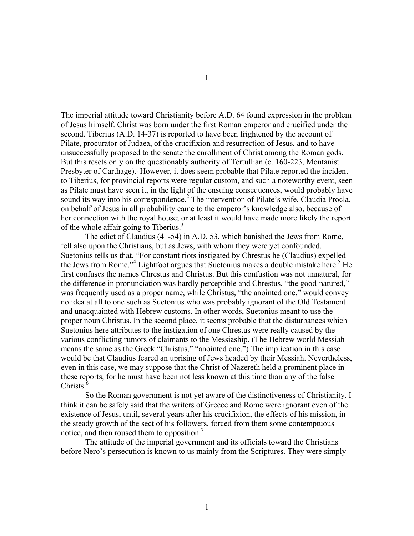The imperial attitude toward Christianity before A.D. 64 found expression in the problem of Jesus himself. Christ was born under the first Roman emperor and crucified under the second. Tiberius (A.D. 14-37) is reported to have been frightened by the account of Pilate, procurator of Judaea, of the crucifixion and resurrection of Jesus, and to have unsuccessfully proposed to the senate the enrollment of Christ among the Roman gods. But this resets only on the questionably authority of Tertullian (c. 160-223, Montanist Presbyter of Carthage).<sup>[1](#page-47-12)</sup> However, it does seem probable that Pilate reported the incident to Tiberius, for provincial reports were regular custom, and such a noteworthy event, seen as Pilate must have seen it, in the light of the ensuing consequences, would probably have sound its way into his correspondence.<sup>[2](#page-47-13)</sup> The intervention of Pilate's wife, Claudia Procla, on behalf of Jesus in all probability came to the emperor's knowledge also, because of her connection with the royal house; or at least it would have made more likely the report of the whole affair going to Tiberius.<sup>[3](#page-47-14)</sup>

The edict of Claudius (41-54) in A.D. 53, which banished the Jews from Rome, fell also upon the Christians, but as Jews, with whom they were yet confounded. Suetonius tells us that, "For constant riots instigated by Chrestus he (Claudius) expelled theJews from Rome."<sup>4</sup> Lightfoot argues that Suetonius makes a double mistake here.<sup>5</sup> He first confuses the names Chrestus and Christus. But this confustion was not unnatural, for the difference in pronunciation was hardly perceptible and Chrestus, "the good-natured," was frequently used as a proper name, while Christus, "the anointed one," would convey no idea at all to one such as Suetonius who was probably ignorant of the Old Testament and unacquainted with Hebrew customs. In other words, Suetonius meant to use the proper noun Christus. In the second place, it seems probable that the disturbances which Suetonius here attributes to the instigation of one Chrestus were really caused by the various conflicting rumors of claimants to the Messiaship. (The Hebrew world Messiah means the same as the Greek "Christus," "anointed one.") The implication in this case would be that Claudius feared an uprising of Jews headed by their Messiah. Nevertheless, even in this case, we may suppose that the Christ of Nazereth held a prominent place in these reports, for he must have been not less known at this time than any of the false Christs<sup> $6$ </sup>

So the Roman government is not yet aware of the distinctiveness of Christianity. I think it can be safely said that the writers of Greece and Rome were ignorant even of the existence of Jesus, until, several years after his crucifixion, the effects of his mission, in the steady growth of the sect of his followers, forced from them some contemptuous notice, and then roused them to opposition.<sup>[7](#page-47-18)</sup>

The attitude of the imperial government and its officials toward the Christians before Nero's persecution is known to us mainly from the Scriptures. They were simply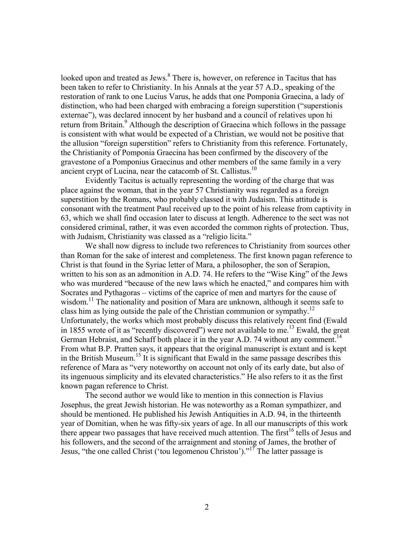looked upon and treated as Jews.<sup>[8](#page-47-19)</sup> There is, however, on reference in Tacitus that has been taken to refer to Christianity. In his Annals at the year 57 A.D., speaking of the restoration of rank to one Lucius Varus, he adds that one Pomponia Graecina, a lady of distinction, who had been charged with embracing a foreign superstition ("superstionis externae"), was declared innocent by her husband and a council of relatives upon hi return from Britain.<sup>[9](#page-47-20)</sup> Although the description of Graecina which follows in the passage is consistent with what would be expected of a Christian, we would not be positive that the allusion "foreign superstition" refers to Christianity from this reference. Fortunately, the Christianity of Pomponia Graecina has been confirmed by the discovery of the gravestone of a Pomponius Graecinus and other members of the same family in a very ancient crypt of Lucina, near the catacomb of St. Callistus.<sup>10</sup>

Evidently Tacitus is actually representing the wording of the charge that was place against the woman, that in the year 57 Christianity was regarded as a foreign superstition by the Romans, who probably classed it with Judaism. This attitude is consonant with the treatment Paul received up to the point of his release from captivity in 63, which we shall find occasion later to discuss at length. Adherence to the sect was not considered criminal, rather, it was even accorded the common rights of protection. Thus, with Judaism, Christianity was classed as a "religio licita."

We shall now digress to include two references to Christianity from sources other than Roman for the sake of interest and completeness. The first known pagan reference to Christ is that found in the Syriac letter of Mara, a philosopher, the son of Serapion, written to his son as an admonition in A.D. 74. He refers to the "Wise King" of the Jews who was murdered "because of the new laws which he enacted," and compares him with Socrates and Pythagoras – victims of the caprice of men and martyrs for the cause of wisdom.<sup>11</sup> The nationality and position of Mara are unknown, although it seems safe to class him as lying outside the pale of the Christian communion or sympathy.<sup>[12](#page-47-23)</sup> Unfortunately, the works which most probably discuss this relatively recent find (Ewald in 1855 wrote of it as "recently discovered") were not available to me.<sup>13</sup> Ewald, the great German Hebraist, and Schaff both place it in the year A.D. 74 without any comment.<sup>[14](#page-47-25)</sup> From what B.P. Pratten says, it appears that the original manuscript is extant and is kept in the British Museum.<sup>15</sup> It is significant that Ewald in the same passage describes this reference of Mara as "very noteworthy on account not only of its early date, but also of its ingenuous simplicity and its elevated characteristics." He also refers to it as the first known pagan reference to Christ.

The second author we would like to mention in this connection is Flavius Josephus, the great Jewish historian. He was noteworthy as a Roman sympathizer, and should be mentioned. He published his Jewish Antiquities in A.D. 94, in the thirteenth year of Domitian, when he was fifty-six years of age. In all our manuscripts of this work there appear two passages that have received much attention. The first<sup>16</sup> tells of Jesus and his followers, and the second of the arraignment and stoning of James, the brother of Jesus, "the one called Christ ('tou legomenou Christou')."<sup>17</sup> The latter passage is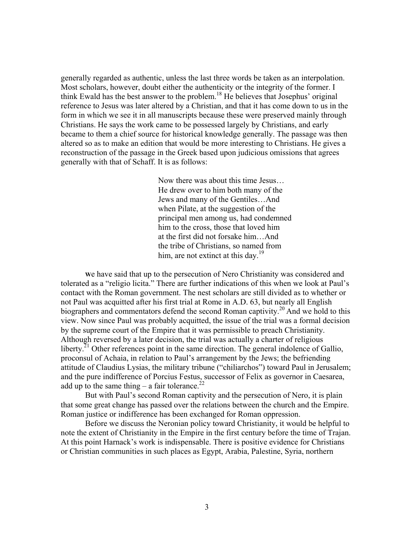generally regarded as authentic, unless the last three words be taken as an interpolation. Most scholars, however, doubt either the authenticity or the integrity of the former. I think Ewald has the best answer to the problem. [18](#page-47-29) He believes that Josephus' original reference to Jesus was later altered by a Christian, and that it has come down to us in the form in which we see it in all manuscripts because these were preserved mainly through Christians. He says the work came to be possessed largely by Christians, and early became to them a chief source for historical knowledge generally. The passage was then altered so as to make an edition that would be more interesting to Christians. He gives a reconstruction of the passage in the Greek based upon judicious omissions that agrees generally with that of Schaff. It is as follows:

> Now there was about this time Jesus… He drew over to him both many of the Jews and many of the Gentiles…And when Pilate, at the suggestion of the principal men among us, had condemned him to the cross, those that loved him at the first did not forsake him…And the tribe of Christians, so named from him, are not extinct at this day.<sup>[19](#page-47-30)</sup>

 **W**e have said that up to the persecution of Nero Christianity was considered and tolerated as a "religio licita." There are further indications of this when we look at Paul's contact with the Roman government. The nest scholars are still divided as to whether or not Paul was acquitted after his first trial at Rome in A.D. 63, but nearly all English biographers and commentators defend the second Roman captivity.<sup>20</sup> And we hold to this view. Now since Paul was probably acquitted, the issue of the trial was a formal decision by the supreme court of the Empire that it was permissible to preach Christianity. Although reversed by a later decision, the trial was actually a charter of religious liberty.<sup>21</sup> Other references point in the same direction. The general indolence of Gallio, proconsul of Achaia, in relation to Paul's arrangement by the Jews; the befriending attitude of Claudius Lysias, the military tribune ("chiliarchos") toward Paul in Jerusalem; and the pure indifference of Porcius Festus, successor of Felix as governor in Caesarea, add up to the same thing – a fair tolerance.<sup>[22](#page-47-33)</sup>

But with Paul's second Roman captivity and the persecution of Nero, it is plain that some great change has passed over the relations between the church and the Empire. Roman justice or indifference has been exchanged for Roman oppression.

Before we discuss the Neronian policy toward Christianity, it would be helpful to note the extent of Christianity in the Empire in the first century before the time of Trajan. At this point Harnack's work is indispensable. There is positive evidence for Christians or Christian communities in such places as Egypt, Arabia, Palestine, Syria, northern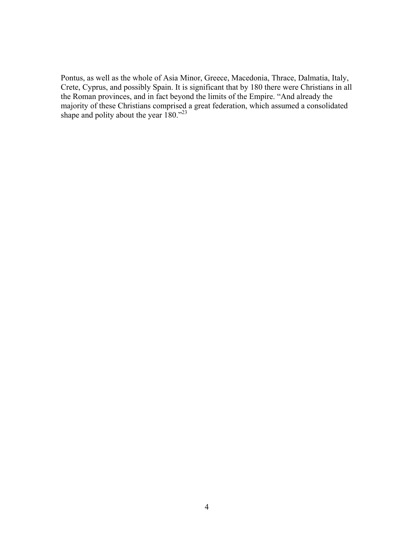Pontus, as well as the whole of Asia Minor, Greece, Macedonia, Thrace, Dalmatia, Italy, Crete, Cyprus, and possibly Spain. It is significant that by 180 there were Christians in all the Roman provinces, and in fact beyond the limits of the Empire. "And already the majority of these Christians comprised a great federation, which assumed a consolidated shape and polity about the year  $180.^{23}$  $180.^{23}$  $180.^{23}$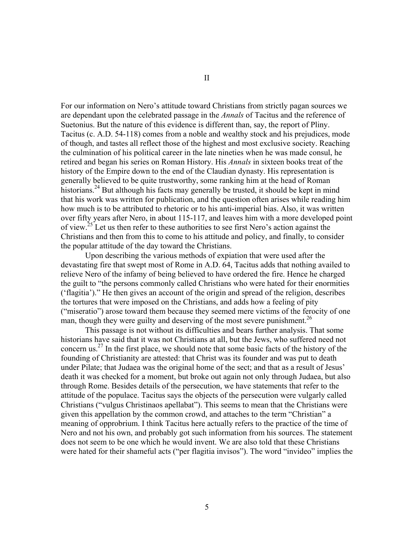For our information on Nero's attitude toward Christians from strictly pagan sources we are dependant upon the celebrated passage in the *Annals* of Tacitus and the reference of Suetonius. But the nature of this evidence is different than, say, the report of Pliny. Tacitus (c. A.D. 54-118) comes from a noble and wealthy stock and his prejudices, mode of though, and tastes all reflect those of the highest and most exclusive society. Reaching the culmination of his political career in the late nineties when he was made consul, he retired and began his series on Roman History. His *Annals* in sixteen books treat of the history of the Empire down to the end of the Claudian dynasty. His representation is generally believed to be quite trustworthy, some ranking him at the head of Roman historians.<sup>24</sup> But although his facts may generally be trusted, it should be kept in mind that his work was written for publication, and the question often arises while reading him how much is to be attributed to rhetoric or to his anti-imperial bias. Also, it was written over fifty years after Nero, in about 115-117, and leaves him with a more developed point of view.[25](#page-47-36) Let us then refer to these authorities to see first Nero's action against the Christians and then from this to come to his attitude and policy, and finally, to consider the popular attitude of the day toward the Christians.

Upon describing the various methods of expiation that were used after the devastating fire that swept most of Rome in A.D. 64, Tacitus adds that nothing availed to relieve Nero of the infamy of being believed to have ordered the fire. Hence he charged the guilt to "the persons commonly called Christians who were hated for their enormities ('flagitia')." He then gives an account of the origin and spread of the religion, describes the tortures that were imposed on the Christians, and adds how a feeling of pity ("miseratio") arose toward them because they seemed mere victims of the ferocity of one man, though they were guilty and deserving of the most severe punishment.<sup>[26](#page-47-37)</sup>

This passage is not without its difficulties and bears further analysis. That some historians have said that it was not Christians at all, but the Jews, who suffered need not concern us.[27](#page-47-38) In the first place, we should note that some basic facts of the history of the founding of Christianity are attested: that Christ was its founder and was put to death under Pilate; that Judaea was the original home of the sect; and that as a result of Jesus' death it was checked for a moment, but broke out again not only through Judaea, but also through Rome. Besides details of the persecution, we have statements that refer to the attitude of the populace. Tacitus says the objects of the persecution were vulgarly called Christians ("vulgus Christinaos apellabat"). This seems to mean that the Christians were given this appellation by the common crowd, and attaches to the term "Christian" a meaning of opprobrium. I think Tacitus here actually refers to the practice of the time of Nero and not his own, and probably got such information from his sources. The statement does not seem to be one which he would invent. We are also told that these Christians were hated for their shameful acts ("per flagitia invisos"). The word "invideo" implies the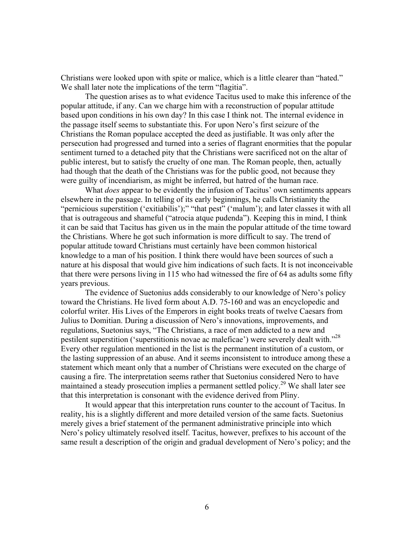Christians were looked upon with spite or malice, which is a little clearer than "hated." We shall later note the implications of the term "flagitia".

The question arises as to what evidence Tacitus used to make this inference of the popular attitude, if any. Can we charge him with a reconstruction of popular attitude based upon conditions in his own day? In this case I think not. The internal evidence in the passage itself seems to substantiate this. For upon Nero's first seizure of the Christians the Roman populace accepted the deed as justifiable. It was only after the persecution had progressed and turned into a series of flagrant enormities that the popular sentiment turned to a detached pity that the Christians were sacrificed not on the altar of public interest, but to satisfy the cruelty of one man. The Roman people, then, actually had though that the death of the Christians was for the public good, not because they were guilty of incendiarism, as might be inferred, but hatred of the human race.

 What *does* appear to be evidently the infusion of Tacitus' own sentiments appears elsewhere in the passage. In telling of its early beginnings, he calls Christianity the "pernicious superstition ('exitiabilis');" "that pest" ('malum'); and later classes it with all that is outrageous and shameful ("atrocia atque pudenda"). Keeping this in mind, I think it can be said that Tacitus has given us in the main the popular attitude of the time toward the Christians. Where he got such information is more difficult to say. The trend of popular attitude toward Christians must certainly have been common historical knowledge to a man of his position. I think there would have been sources of such a nature at his disposal that would give him indications of such facts. It is not inconceivable that there were persons living in 115 who had witnessed the fire of 64 as adults some fifty years previous.

The evidence of Suetonius adds considerably to our knowledge of Nero's policy toward the Christians. He lived form about A.D. 75-160 and was an encyclopedic and colorful writer. His Lives of the Emperors in eight books treats of twelve Caesars from Julius to Domitian. During a discussion of Nero's innovations, improvements, and regulations, Suetonius says, "The Christians, a race of men addicted to a new and pestilent superstition ('superstitionis novae ac maleficae') were severely dealt with."[28](#page-47-39) Every other regulation mentioned in the list is the permanent institution of a custom, or the lasting suppression of an abuse. And it seems inconsistent to introduce among these a statement which meant only that a number of Christians were executed on the charge of causing a fire. The interpretation seems rather that Suetonius considered Nero to have maintained a steady prosecution implies a permanent settled policy.<sup>29</sup> We shall later see that this interpretation is consonant with the evidence derived from Pliny.

It would appear that this interpretation runs counter to the account of Tacitus. In reality, his is a slightly different and more detailed version of the same facts. Suetonius merely gives a brief statement of the permanent administrative principle into which Nero's policy ultimately resolved itself. Tacitus, however, prefixes to his account of the same result a description of the origin and gradual development of Nero's policy; and the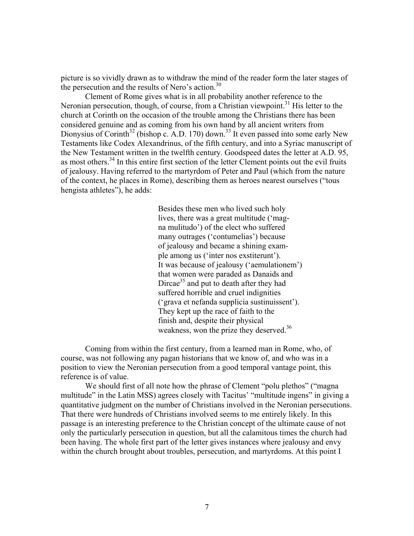picture is so vividly drawn as to withdraw the mind of the reader form the later stages of the persecution and the results of Nero's action. $30$ 

Clement of Rome gives what is in all probability another reference to the Neronian persecution, though, of course, from a Christian viewpoint.<sup>31</sup> His letter to the church at Corinth on the occasion of the trouble among the Christians there has been considered genuine and as coming from his own hand by all ancient writers from Dionysius of Corinth<sup>32</sup> (bishop c. A.D. 170) down.<sup>33</sup> It even passed into some early New Testaments like Codex Alexandrinus, of the fifth century, and into a Syriac manuscript of the New Testament written in the twelfth century. Goodspeed dates the letter at A.D. 95, as most others.<sup>34</sup> In this entire first section of the letter Clement points out the evil fruits of jealousy. Having referred to the martyrdom of Peter and Paul (which from the nature of the context, he places in Rome), describing them as heroes nearest ourselves ("tous hengista athletes"), he adds:

> Besides these men who lived such holy lives, there was a great multitude ('magna mulitudo') of the elect who suffered many outrages ('contumelias') because of jealousy and became a shining example among us ('inter nos exstiterunt'). It was because of jealousy ('aemulationem') that women were paraded as Danaids and Dircae<sup>35</sup> and put to death after they had suffered horrible and cruel indignities ('grava et nefanda supplicia sustinuissent'). They kept up the race of faith to the finish and, despite their physical weakness, won the prize they deserved.<sup>[36](#page-47-46)</sup>

Coming from within the first century, from a learned man in Rome, who, of course, was not following any pagan historians that we know of, and who was in a position to view the Neronian persecution from a good temporal vantage point, this reference is of value.

We should first of all note how the phrase of Clement "polu plethos" ("magna") multitude" in the Latin MSS) agrees closely with Tacitus' "multitude ingens" in giving a quantitative judgment on the number of Christians involved in the Neronian persecutions. That there were hundreds of Christians involved seems to me entirely likely. In this passage is an interesting preference to the Christian concept of the ultimate cause of not only the particularly persecution in question, but all the calamitous times the church had been having. The whole first part of the letter gives instances where jealousy and envy within the church brought about troubles, persecution, and martyrdoms. At this point I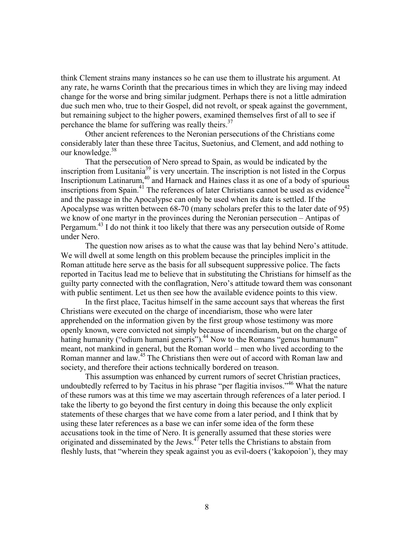think Clement strains many instances so he can use them to illustrate his argument. At any rate, he warns Corinth that the precarious times in which they are living may indeed change for the worse and bring similar judgment. Perhaps there is not a little admiration due such men who, true to their Gospel, did not revolt, or speak against the government, but remaining subject to the higher powers, examined themselves first of all to see if perchance the blame for suffering was really theirs.<sup>[37](#page-47-47)</sup>

Other ancient references to the Neronian persecutions of the Christians come considerably later than these three Tacitus, Suetonius, and Clement, and add nothing to our knowledge.<sup>[38](#page-47-32)</sup>

That the persecution of Nero spread to Spain, as would be indicated by the inscription from Lusitania<sup>39</sup> is very uncertain. The inscription is not listed in the Corpus Inscriptionum Latinarum,<sup>40</sup> and Harnack and Haines class it as one of a body of spurious inscriptions from Spain.<sup>41</sup> The references of later Christians cannot be used as evidence<sup>[42](#page-47-50)</sup> and the passage in the Apocalypse can only be used when its date is settled. If the Apocalypse was written between 68-70 (many scholars prefer this to the later date of 95) we know of one martyr in the provinces during the Neronian persecution – Antipas of Pergamum.<sup>43</sup> I do not think it too likely that there was any persecution outside of Rome under Nero.

The question now arises as to what the cause was that lay behind Nero's attitude. We will dwell at some length on this problem because the principles implicit in the Roman attitude here serve as the basis for all subsequent suppressive police. The facts reported in Tacitus lead me to believe that in substituting the Christians for himself as the guilty party connected with the conflagration, Nero's attitude toward them was consonant with public sentiment. Let us then see how the available evidence points to this view.

In the first place, Tacitus himself in the same account says that whereas the first Christians were executed on the charge of incendiarism, those who were later apprehended on the information given by the first group whose testimony was more openly known, were convicted not simply because of incendiarism, but on the charge of hating humanity ("odium humani generis").<sup>44</sup> Now to the Romans "genus humanum" meant, not mankind in general, but the Roman world – men who lived according to the Roman manner and law.<sup>[45](#page-47-53)</sup> The Christians then were out of accord with Roman law and society, and therefore their actions technically bordered on treason.

This assumption was enhanced by current rumors of secret Christian practices, undoubtedly referred to by Tacitus in his phrase "per flagitia invisos."<sup>46</sup> What the nature of these rumors was at this time we may ascertain through references of a later period. I take the liberty to go beyond the first century in doing this because the only explicit statements of these charges that we have come from a later period, and I think that by using these later references as a base we can infer some idea of the form these accusations took in the time of Nero. It is generally assumed that these stories were originated and disseminated by the Jews. $47$  Peter tells the Christians to abstain from fleshly lusts, that "wherein they speak against you as evil-doers ('kakopoion'), they may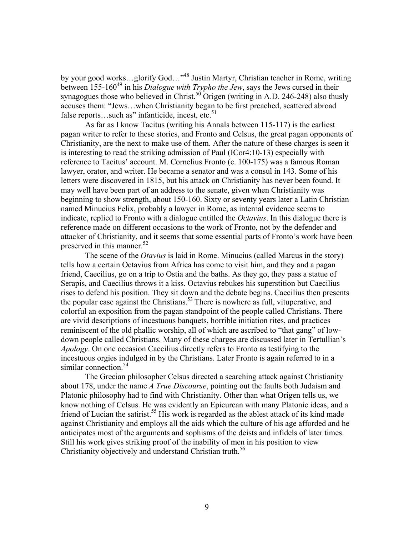by your good works...glorify God..."<sup>48</sup> Justin Martyr, Christian teacher in Rome, writing between 155-160<sup>49</sup> in his *Dialogue with Trypho the Jew*, says the Jews cursed in their synagogues those who believed in Christ.<sup>50</sup> Origen (writing in A.D. 246-248) also thusly accuses them: "Jews…when Christianity began to be first preached, scattered abroad false reports...such as" infanticide, incest, etc. $51$ 

As far as I know Tacitus (writing his Annals between 115-117) is the earliest pagan writer to refer to these stories, and Fronto and Celsus, the great pagan opponents of Christianity, are the next to make use of them. After the nature of these charges is seen it is interesting to read the striking admission of Paul (ICor4:10-13) especially with reference to Tacitus' account. M. Cornelius Fronto (c. 100-175) was a famous Roman lawyer, orator, and writer. He became a senator and was a consul in 143. Some of his letters were discovered in 1815, but his attack on Christianity has never been found. It may well have been part of an address to the senate, given when Christianity was beginning to show strength, about 150-160. Sixty or seventy years later a Latin Christian named Minucius Felix, probably a lawyer in Rome, as internal evidence seems to indicate, replied to Fronto with a dialogue entitled the *Octavius*. In this dialogue there is reference made on different occasions to the work of Fronto, not by the defender and attacker of Christianity, and it seems that some essential parts of Fronto's work have been preserved in this manner.<sup>[52](#page-47-60)</sup>

The scene of the *Otavius* is laid in Rome. Minucius (called Marcus in the story) tells how a certain Octavius from Africa has come to visit him, and they and a pagan friend, Caecilius, go on a trip to Ostia and the baths. As they go, they pass a statue of Serapis, and Caecilius throws it a kiss. Octavius rebukes his superstition but Caecilius rises to defend his position. They sit down and the debate begins. Caecilius then presents the popular case against the Christians.<sup>[53](#page-47-61)</sup> There is nowhere as full, vituperative, and colorful an exposition from the pagan standpoint of the people called Christians. There are vivid descriptions of incestuous banquets, horrible initiation rites, and practices reminiscent of the old phallic worship, all of which are ascribed to "that gang" of lowdown people called Christians. Many of these charges are discussed later in Tertullian's *Apology*. On one occasion Caecilius directly refers to Fronto as testifying to the incestuous orgies indulged in by the Christians. Later Fronto is again referred to in a similar connection. $54$ 

The Grecian philosopher Celsus directed a searching attack against Christianity about 178, under the name *A True Discourse*, pointing out the faults both Judaism and Platonic philosophy had to find with Christianity. Other than what Origen tells us, we know nothing of Celsus. He was evidently an Epicurean with many Platonic ideas, and a friend of Lucian the satirist.<sup>55</sup> His work is regarded as the ablest attack of its kind made against Christianity and employs all the aids which the culture of his age afforded and he anticipates most of the arguments and sophisms of the deists and infidels of later times. Still his work gives striking proof of the inability of men in his position to view Christianity objectively and understand Christian truth.<sup>[56](#page-47-64)</sup>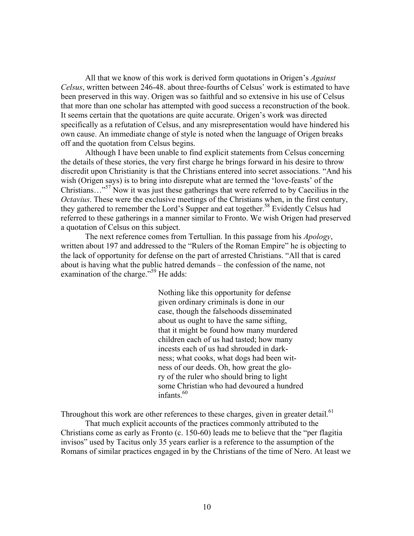All that we know of this work is derived form quotations in Origen's *Against Celsus*, written between 246-48. about three-fourths of Celsus' work is estimated to have been preserved in this way. Origen was so faithful and so extensive in his use of Celsus that more than one scholar has attempted with good success a reconstruction of the book. It seems certain that the quotations are quite accurate. Origen's work was directed specifically as a refutation of Celsus, and any misrepresentation would have hindered his own cause. An immediate change of style is noted when the language of Origen breaks off and the quotation from Celsus begins.

Although I have been unable to find explicit statements from Celsus concerning the details of these stories, the very first charge he brings forward in his desire to throw discredit upon Christianity is that the Christians entered into secret associations. "And his wish (Origen says) is to bring into disrepute what are termed the 'love-feasts' of the Christians…"[57](#page-47-65) Now it was just these gatherings that were referred to by Caecilius in the *Octavius*. These were the exclusive meetings of the Christians when, in the first century, they gathered to remember the Lord's Supper and eat together.<sup>58</sup> Evidently Celsus had referred to these gatherings in a manner similar to Fronto. We wish Origen had preserved a quotation of Celsus on this subject.

The next reference comes from Tertullian. In this passage from his *Apology*, written about 197 and addressed to the "Rulers of the Roman Empire" he is objecting to the lack of opportunity for defense on the part of arrested Christians. "All that is cared about is having what the public hatred demands – the confession of the name, not examination of the charge."<sup>59</sup> He adds:

> Nothing like this opportunity for defense given ordinary criminals is done in our case, though the falsehoods disseminated about us ought to have the same sifting, that it might be found how many murdered children each of us had tasted; how many incests each of us had shrouded in darkness; what cooks, what dogs had been witness of our deeds. Oh, how great the glory of the ruler who should bring to light some Christian who had devoured a hundred infants $60$

Throughout this work are other references to these charges, given in greater detail.<sup>[61](#page-47-69)</sup> That much explicit accounts of the practices commonly attributed to the Christians come as early as Fronto (c. 150-60) leads me to believe that the "per flagitia invisos" used by Tacitus only 35 years earlier is a reference to the assumption of the Romans of similar practices engaged in by the Christians of the time of Nero. At least we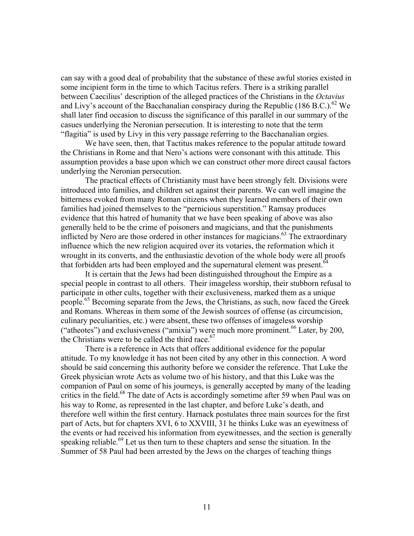can say with a good deal of probability that the substance of these awful stories existed in some incipient form in the time to which Tacitus refers. There is a striking parallel between Caecilius' description of the alleged practices of the Christians in the *Octavius* and Livy's account of the Bacchanalian conspiracy during the Republic (186 B.C.).<sup>62</sup> We shall later find occasion to discuss the significance of this parallel in our summary of the casues underlying the Neronian persecution. It is interesting to note that the term "flagitia" is used by Livy in this very passage referring to the Bacchanalian orgies.

We have seen, then, that Tactitus makes reference to the popular attitude toward the Christians in Rome and that Nero's actions were consonant with this attitude. This assumption provides a base upon which we can construct other more direct causal factors underlying the Neronian persecution.

The practical effects of Christianity must have been strongly felt. Divisions were introduced into families, and children set against their parents. We can well imagine the bitterness evoked from many Roman citizens when they learned members of their own families had joined themselves to the "pernicious superstition." Ramsay produces evidence that this hatred of humanity that we have been speaking of above was also generally held to be the crime of poisoners and magicians, and that the punishments inflicted by Nero are those ordered in other instances for magicians.<sup>63</sup> The extraordinary influence which the new religion acquired over its votaries, the reformation which it wrought in its converts, and the enthusiastic devotion of the whole body were all proofs that forbidden arts had been employed and the supernatural element was present.<sup>[64](#page-47-72)</sup>

It is certain that the Jews had been distinguished throughout the Empire as a special people in contrast to all others. Their imageless worship, their stubborn refusal to participate in other cults, together with their exclusiveness, marked them as a unique people.<sup>65</sup> Becoming separate from the Jews, the Christians, as such, now faced the Greek and Romans. Whereas in them some of the Jewish sources of offense (as circumcision, culinary peculiarities, etc.) were absent, these two offenses of imageless worship ("atheotes") and exclusiveness ("amixia") were much more prominent.<sup>66</sup> Later, by 200, the Christians were to be called the third race. $67$ 

There is a reference in Acts that offers additional evidence for the popular attitude. To my knowledge it has not been cited by any other in this connection. A word should be said concerning this authority before we consider the reference. That Luke the Greek physician wrote Acts as volume two of his history, and that this Luke was the companion of Paul on some of his journeys, is generally accepted by many of the leading critics in the field.<sup>68</sup> The date of Acts is accordingly sometime after 59 when Paul was on his way to Rome, as represented in the last chapter, and before Luke's death, and therefore well within the first century. Harnack postulates three main sources for the first part of Acts, but for chapters XVI, 6 to XXVIII, 31 he thinks Luke was an eyewitness of the events or had received his information from eyewitnesses, and the section is generally speaking reliable.<sup>69</sup> Let us then turn to these chapters and sense the situation. In the Summer of 58 Paul had been arrested by the Jews on the charges of teaching things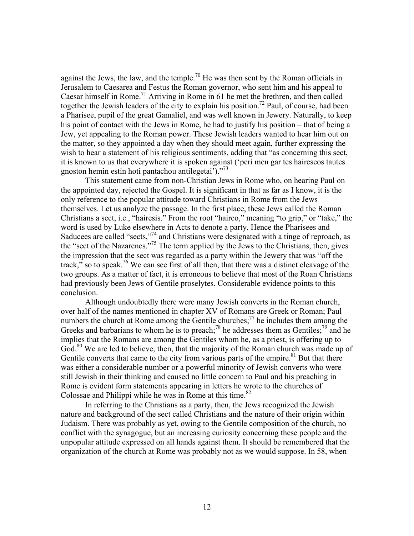against the Jews, the law, and the temple.<sup>70</sup> He was then sent by the Roman officials in Jerusalem to Caesarea and Festus the Roman governor, who sent him and his appeal to Caesar himself in Rome. [71](#page-47-79) Arriving in Rome in 61 he met the brethren, and then called together the Jewish leaders of the city to explain his position.<sup>72</sup> Paul, of course, had been a Pharisee, pupil of the great Gamaliel, and was well known in Jewery. Naturally, to keep his point of contact with the Jews in Rome, he had to justify his position – that of being a Jew, yet appealing to the Roman power. These Jewish leaders wanted to hear him out on the matter, so they appointed a day when they should meet again, further expressing the wish to hear a statement of his religious sentiments, adding that "as concerning this sect, it is known to us that everywhere it is spoken against ('peri men gar tes haireseos tautes gnoston hemin estin hoti pantachou antilegetai')."<sup>73</sup>

This statement came from non-Christian Jews in Rome who, on hearing Paul on the appointed day, rejected the Gospel. It is significant in that as far as I know, it is the only reference to the popular attitude toward Christians in Rome from the Jews themselves. Let us analyze the passage. In the first place, these Jews called the Roman Christians a sect, i.e., "hairesis." From the root "haireo," meaning "to grip," or "take," the word is used by Luke elsewhere in Acts to denote a party. Hence the Pharisees and Saducees are called "sects,"<sup>74</sup> and Christians were designated with a tinge of reproach, as the "sect of the Nazarenes."[75](#page-47-83) The term applied by the Jews to the Christians, then, gives the impression that the sect was regarded as a party within the Jewery that was "off the track," so to speak.<sup>76</sup> We can see first of all then, that there was a distinct cleavage of the two groups. As a matter of fact, it is erroneous to believe that most of the Roan Christians had previously been Jews of Gentile proselytes. Considerable evidence points to this conclusion.

Although undoubtedly there were many Jewish converts in the Roman church, over half of the names mentioned in chapter XV of Romans are Greek or Roman; Paul numbers the church at Rome among the Gentile churches;<sup>77</sup> he includes them among the Greeks and barbarians to whom he is to preach;<sup>78</sup> he addresses them as Gentiles;<sup>79</sup> and he implies that the Romans are among the Gentiles whom he, as a priest, is offering up to God.<sup>80</sup> We are led to believe, then, that the majority of the Roman church was made up of Gentile converts that came to the city from various parts of the empire. $81$  But that there was either a considerable number or a powerful minority of Jewish converts who were still Jewish in their thinking and caused no little concern to Paul and his preaching in Rome is evident form statements appearing in letters he wrote to the churches of Colossae and Philippi while he was in Rome at this time.<sup>[82](#page-47-90)</sup>

In referring to the Christians as a party, then, the Jews recognized the Jewish nature and background of the sect called Christians and the nature of their origin within Judaism. There was probably as yet, owing to the Gentile composition of the church, no conflict with the synagogue, but an increasing curiosity concerning these people and the unpopular attitude expressed on all hands against them. It should be remembered that the organization of the church at Rome was probably not as we would suppose. In 58, when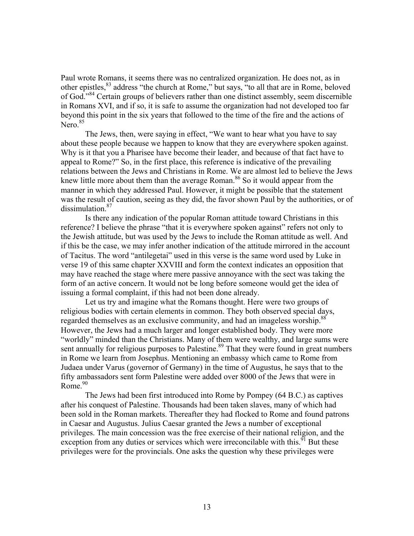Paul wrote Romans, it seems there was no centralized organization. He does not, as in other epistles,<sup>83</sup> address "the church at Rome," but says, "to all that are in Rome, beloved of God."[84](#page-47-92) Certain groups of believers rather than one distinct assembly, seem discernible in Romans XVI, and if so, it is safe to assume the organization had not developed too far beyond this point in the six years that followed to the time of the fire and the actions of  $Nero.<sup>85</sup>$ 

The Jews, then, were saying in effect, "We want to hear what you have to say about these people because we happen to know that they are everywhere spoken against. Why is it that you a Pharisee have become their leader, and because of that fact have to appeal to Rome?" So, in the first place, this reference is indicative of the prevailing relations between the Jews and Christians in Rome. We are almost led to believe the Jews knew little more about them than the average Roman.<sup>86</sup> So it would appear from the manner in which they addressed Paul. However, it might be possible that the statement was the result of caution, seeing as they did, the favor shown Paul by the authorities, or of dissimulation.<sup>[87](#page-47-38)</sup>

Is there any indication of the popular Roman attitude toward Christians in this reference? I believe the phrase "that it is everywhere spoken against" refers not only to the Jewish attitude, but was used by the Jews to include the Roman attitude as well. And if this be the case, we may infer another indication of the attitude mirrored in the account of Tacitus. The word "antilegetai" used in this verse is the same word used by Luke in verse 19 of this same chapter XXVIII and form the context indicates an opposition that may have reached the stage where mere passive annoyance with the sect was taking the form of an active concern. It would not be long before someone would get the idea of issuing a formal complaint, if this had not been done already.

Let us try and imagine what the Romans thought. Here were two groups of religious bodies with certain elements in common. They both observed special days, regarded themselves as an exclusive community, and had an imageless worship.<sup>[88](#page-47-39)</sup> However, the Jews had a much larger and longer established body. They were more "worldly" minded than the Christians. Many of them were wealthy, and large sums were sent annually for religious purposes to Palestine.<sup>89</sup> That they were found in great numbers in Rome we learn from Josephus. Mentioning an embassy which came to Rome from Judaea under Varus (governor of Germany) in the time of Augustus, he says that to the fifty ambassadors sent form Palestine were added over 8000 of the Jews that were in Rome. [90](#page-47-41)

The Jews had been first introduced into Rome by Pompey (64 B.C.) as captives after his conquest of Palestine. Thousands had been taken slaves, many of which had been sold in the Roman markets. Thereafter they had flocked to Rome and found patrons in Caesar and Augustus. Julius Caesar granted the Jews a number of exceptional privileges. The main concession was the free exercise of their national religion, and the exception from any duties or services which were irreconcilable with this.<sup>91</sup> But these privileges were for the provincials. One asks the question why these privileges were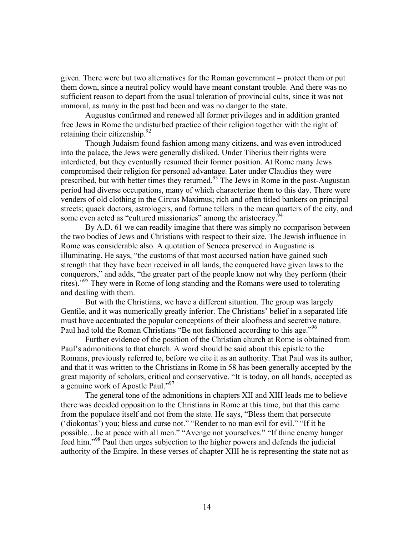given. There were but two alternatives for the Roman government – protect them or put them down, since a neutral policy would have meant constant trouble. And there was no sufficient reason to depart from the usual toleration of provincial cults, since it was not immoral, as many in the past had been and was no danger to the state.

Augustus confirmed and renewed all former privileges and in addition granted free Jews in Rome the undisturbed practice of their religion together with the right of retaining their citizenship. $92$ 

Though Judaism found fashion among many citizens, and was even introduced into the palace, the Jews were generally disliked. Under Tiberius their rights were interdicted, but they eventually resumed their former position. At Rome many Jews compromised their religion for personal advantage. Later under Claudius they were prescribed, but with better times they returned.[93](#page-47-96) The Jews in Rome in the post-Augustan period had diverse occupations, many of which characterize them to this day. There were venders of old clothing in the Circus Maximus; rich and often titled bankers on principal streets; quack doctors, astrologers, and fortune tellers in the mean quarters of the city, and some even acted as "cultured missionaries" among the aristocracy.<sup>9</sup>

By A.D. 61 we can readily imagine that there was simply no comparison between the two bodies of Jews and Christians with respect to their size. The Jewish influence in Rome was considerable also. A quotation of Seneca preserved in Augustine is illuminating. He says, "the customs of that most accursed nation have gained such strength that they have been received in all lands, the conquered have given laws to the conquerors," and adds, "the greater part of the people know not why they perform (their rites)."<sup>95</sup> They were in Rome of long standing and the Romans were used to tolerating and dealing with them.

But with the Christians, we have a different situation. The group was largely Gentile, and it was numerically greatly inferior. The Christians' belief in a separated life must have accentuated the popular conceptions of their aloofness and secretive nature. Paul had told the Roman Christians "Be not fashioned according to this age."<sup>96</sup>

Further evidence of the position of the Christian church at Rome is obtained from Paul's admonitions to that church. A word should be said about this epistle to the Romans, previously referred to, before we cite it as an authority. That Paul was its author, and that it was written to the Christians in Rome in 58 has been generally accepted by the great majority of scholars, critical and conservative. "It is today, on all hands, accepted as a genuine work of Apostle Paul."<sup>97</sup>

The general tone of the admonitions in chapters XII and XIII leads me to believe there was decided opposition to the Christians in Rome at this time, but that this came from the populace itself and not from the state. He says, "Bless them that persecute ('diokontas') you; bless and curse not." "Render to no man evil for evil." "If it be possible…be at peace with all men." "Avenge not yourselves." "If thine enemy hunger feed him."<sup>98</sup> Paul then urges subjection to the higher powers and defends the judicial authority of the Empire. In these verses of chapter XIII he is representing the state not as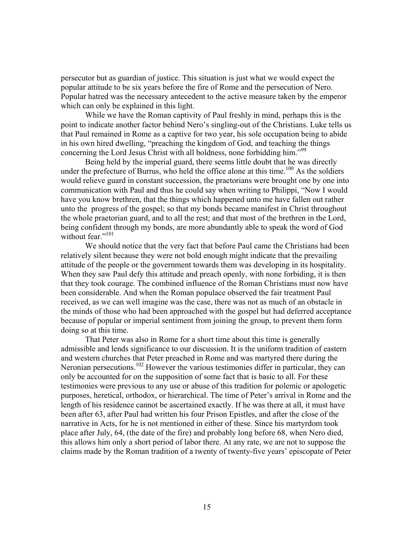persecutor but as guardian of justice. This situation is just what we would expect the popular attitude to be six years before the fire of Rome and the persecution of Nero. Popular hatred was the necessary antecedent to the active measure taken by the emperor which can only be explained in this light.

While we have the Roman captivity of Paul freshly in mind, perhaps this is the point to indicate another factor behind Nero's singling-out of the Christians. Luke tells us that Paul remained in Rome as a captive for two year, his sole occupation being to abide in his own hired dwelling, "preaching the kingdom of God, and teaching the things concerning the Lord Jesus Christ with all boldness, none forbidding him."<sup>[99](#page-47-98)</sup>

Being held by the imperial guard, there seems little doubt that he was directly under the prefecture of Burrus, who held the office alone at this time.<sup>100</sup> As the soldiers would relieve guard in constant succession, the praetorians were brought one by one into communication with Paul and thus he could say when writing to Philippi, "Now I would have you know brethren, that the things which happened unto me have fallen out rather unto the progress of the gospel; so that my bonds became manifest in Christ throughout the whole praetorian guard, and to all the rest; and that most of the brethren in the Lord, being confident through my bonds, are more abundantly able to speak the word of God without fear."<sup>[101](#page-47-100)</sup>

We should notice that the very fact that before Paul came the Christians had been relatively silent because they were not bold enough might indicate that the prevailing attitude of the people or the government towards them was developing in its hospitality. When they saw Paul defy this attitude and preach openly, with none forbiding, it is then that they took courage. The combined influence of the Roman Christians must now have been considerable. And when the Roman populace observed the fair treatment Paul received, as we can well imagine was the case, there was not as much of an obstacle in the minds of those who had been approached with the gospel but had deferred acceptance because of popular or imperial sentiment from joining the group, to prevent them form doing so at this time.

That Peter was also in Rome for a short time about this time is generally admissible and lends significance to our discussion. It is the uniform tradition of eastern and western churches that Peter preached in Rome and was martyred there during the Neronian persecutions.<sup>102</sup> However the various testimonies differ in particular, they can only be accounted for on the supposition of some fact that is basic to all. For these testimonies were previous to any use or abuse of this tradition for polemic or apologetic purposes, heretical, orthodox, or hierarchical. The time of Peter's arrival in Rome and the length of his residence cannot be ascertained exactly. If he was there at all, it must have been after 63, after Paul had written his four Prison Epistles, and after the close of the narrative in Acts, for he is not mentioned in either of these. Since his martyrdom took place after July, 64, (the date of the fire) and probably long before 68, when Nero died, this allows him only a short period of labor there. At any rate, we are not to suppose the claims made by the Roman tradition of a twenty of twenty-five years' episcopate of Peter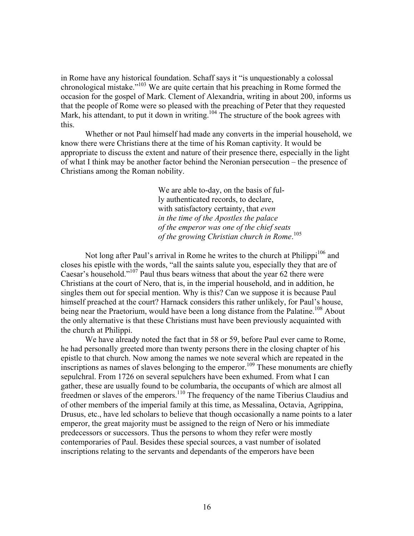in Rome have any historical foundation. Schaff says it "is unquestionably a colossal chronological mistake."<sup>103</sup> We are quite certain that his preaching in Rome formed the occasion for the gospel of Mark. Clement of Alexandria, writing in about 200, informs us that the people of Rome were so pleased with the preaching of Peter that they requested Mark, his attendant, to put it down in writing.<sup>104</sup> The structure of the book agrees with this.

Whether or not Paul himself had made any converts in the imperial household, we know there were Christians there at the time of his Roman captivity. It would be appropriate to discuss the extent and nature of their presence there, especially in the light of what I think may be another factor behind the Neronian persecution – the presence of Christians among the Roman nobility.

> We are able to-day, on the basis of fully authenticated records, to declare, with satisfactory certainty, that *even in the time of the Apostles the palace of the emperor was one of the chief seats of the growing Christian church in Rome*. [105](#page-47-104)

Not long after Paul's arrival in Rome he writes to the church at  $\text{Philippi}^{106}$  and closes his epistle with the words, "all the saints salute you, especially they that are of Caesar's household.["107](#page-47-106) Paul thus bears witness that about the year 62 there were Christians at the court of Nero, that is, in the imperial household, and in addition, he singles them out for special mention. Why is this? Can we suppose it is because Paul himself preached at the court? Harnack considers this rather unlikely, for Paul's house, being near the Praetorium, would have been a long distance from the Palatine.<sup>108</sup> About the only alternative is that these Christians must have been previously acquainted with the church at Philippi.

We have already noted the fact that in 58 or 59, before Paul ever came to Rome, he had personally greeted more than twenty persons there in the closing chapter of his epistle to that church. Now among the names we note several which are repeated in the inscriptions as names of slaves belonging to the emperor.<sup>109</sup> These monuments are chiefly sepulchral. From 1726 on several sepulchers have been exhumed. From what I can gather, these are usually found to be columbaria, the occupants of which are almost all freedmen or slaves of the emperors.[110](#page-47-109) The frequency of the name Tiberius Claudius and of other members of the imperial family at this time, as Messalina, Octavia, Agrippina, Drusus, etc., have led scholars to believe that though occasionally a name points to a later emperor, the great majority must be assigned to the reign of Nero or his immediate predecessors or successors. Thus the persons to whom they refer were mostly contemporaries of Paul. Besides these special sources, a vast number of isolated inscriptions relating to the servants and dependants of the emperors have been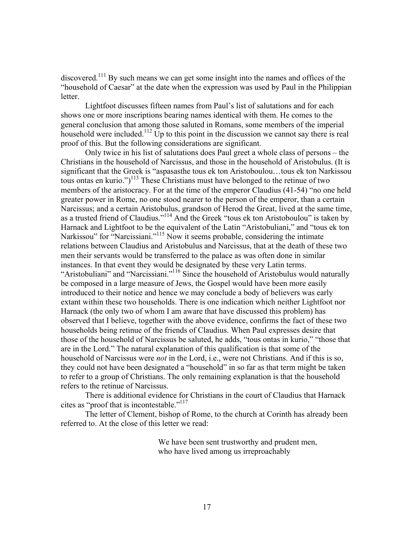discovered[.111](#page-47-110) By such means we can get some insight into the names and offices of the "household of Caesar" at the date when the expression was used by Paul in the Philippian letter.

Lightfoot discusses fifteen names from Paul's list of salutations and for each shows one or more inscriptions bearing names identical with them. He comes to the general conclusion that among those saluted in Romans, some members of the imperial household were included.<sup>112</sup> Up to this point in the discussion we cannot say there is real proof of this. But the following considerations are significant.

Only twice in his list of salutations does Paul greet a whole class of persons – the Christians in the household of Narcissus, and those in the household of Aristobulus. (It is significant that the Greek is "aspasasthe tous ek ton Aristoboulou…tous ek ton Narkissou tous ontas en kurio.")<sup>113</sup> These Christians must have belonged to the retinue of two members of the aristocracy. For at the time of the emperor Claudius (41-54) "no one held greater power in Rome, no one stood nearer to the person of the emperor, than a certain Narcissus; and a certain Aristobulus, grandson of Herod the Great, lived at the same time, as a trusted friend of Claudius."[114](#page-47-113) And the Greek "tous ek ton Aristoboulou" is taken by Harnack and Lightfoot to be the equivalent of the Latin "Aristobuliani," and "tous ek ton Narkissou" for "Narcissiani."<sup>115</sup> Now it seems probable, considering the intimate relations between Claudius and Aristobulus and Narcissus, that at the death of these two men their servants would be transferred to the palace as was often done in similar instances. In that event they would be designated by these very Latin terms. "Aristobuliani" and "Narcissiani."<sup>116</sup> Since the household of Aristobulus would naturally be composed in a large measure of Jews, the Gospel would have been more easily introduced to their notice and hence we may conclude a body of believers was early extant within these two households. There is one indication which neither Lightfoot nor Harnack (the only two of whom I am aware that have discussed this problem) has observed that I believe, together with the above evidence, confirms the fact of these two households being retinue of the friends of Claudius. When Paul expresses desire that those of the household of Narcissus be saluted, he adds, "tous ontas in kurio," "those that are in the Lord." The natural explanation of this qualification is that some of the household of Narcissus were *not* in the Lord, i.e., were not Christians. And if this is so, they could not have been designated a "household" in so far as that term might be taken to refer to a group of Christians. The only remaining explanation is that the household refers to the retinue of Narcissus.

There is additional evidence for Christians in the court of Claudius that Harnack cites as "proof that is incontestable.["117](#page-47-116)

The letter of Clement, bishop of Rome, to the church at Corinth has already been referred to. At the close of this letter we read:

> We have been sent trustworthy and prudent men, who have lived among us irreproachably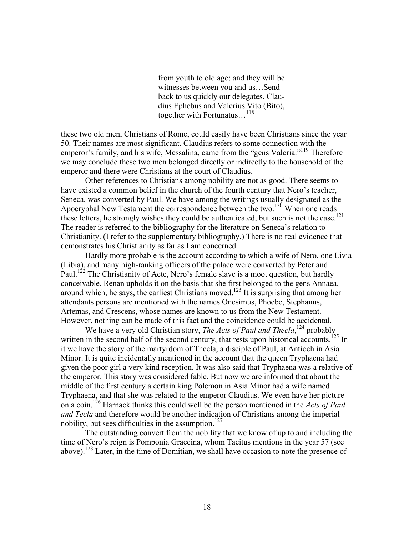from youth to old age; and they will be witnesses between you and us…Send back to us quickly our delegates. Claudius Ephebus and Valerius Vito (Bito), together with Fortunatus...<sup>[118](#page-47-117)</sup>

these two old men, Christians of Rome, could easily have been Christians since the year 50. Their names are most significant. Claudius refers to some connection with the emperor's family, and his wife, Messalina, came from the "gens Valeria."<sup>119</sup> Therefore we may conclude these two men belonged directly or indirectly to the household of the emperor and there were Christians at the court of Claudius.

Other references to Christians among nobility are not as good. There seems to have existed a common belief in the church of the fourth century that Nero's teacher, Seneca, was converted by Paul. We have among the writings usually designated as the Apocryphal New Testament the correspondence between the two.[120](#page-47-119) When one reads these letters, he strongly wishes they could be authenticated, but such is not the case.<sup>121</sup> The reader is referred to the bibliography for the literature on Seneca's relation to Christianity. (I refer to the supplementary bibliography.) There is no real evidence that demonstrates his Christianity as far as I am concerned.

Hardly more probable is the account according to which a wife of Nero, one Livia (Libia), and many high-ranking officers of the palace were converted by Peter and Paul.<sup>122</sup> The Christianity of Acte, Nero's female slave is a moot question, but hardly conceivable. Renan upholds it on the basis that she first belonged to the gens Annaea, around which, he says, the earliest Christians moved.<sup>123</sup> It is surprising that among her attendants persons are mentioned with the names Onesimus, Phoebe, Stephanus, Artemas, and Crescens, whose names are known to us from the New Testament. However, nothing can be made of this fact and the coincidence could be accidental.

We have a very old Christian story, *The Acts of Paul and Thecla*,<sup>124</sup> probably written in the second half of the second century, that rests upon historical accounts.<sup>125</sup> In it we have the story of the martyrdom of Thecla, a disciple of Paul, at Antioch in Asia Minor. It is quite incidentally mentioned in the account that the queen Tryphaena had given the poor girl a very kind reception. It was also said that Tryphaena was a relative of the emperor. This story was considered fable. But now we are informed that about the middle of the first century a certain king Polemon in Asia Minor had a wife named Tryphaena, and that she was related to the emperor Claudius. We even have her picture on a coin[.126](#page-47-125) Harnack thinks this could well be the person mentioned in the *Acts of Paul and Tecla* and therefore would be another indication of Christians among the imperial nobility, but sees difficulties in the assumption.<sup>[127](#page-47-126)</sup>

The outstanding convert from the nobility that we know of up to and including the time of Nero's reign is Pomponia Graecina, whom Tacitus mentions in the year 57 (see above).[128](#page-47-127) Later, in the time of Domitian, we shall have occasion to note the presence of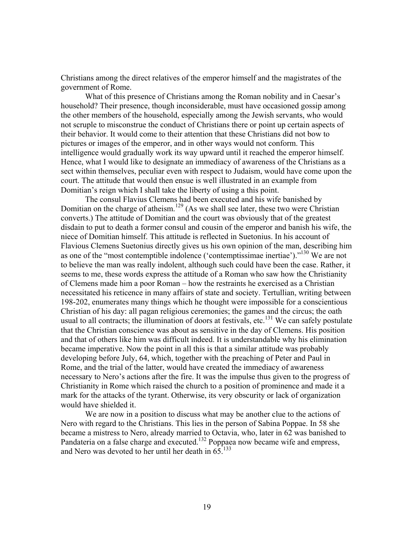Christians among the direct relatives of the emperor himself and the magistrates of the government of Rome.

What of this presence of Christians among the Roman nobility and in Caesar's household? Their presence, though inconsiderable, must have occasioned gossip among the other members of the household, especially among the Jewish servants, who would not scruple to misconstrue the conduct of Christians there or point up certain aspects of their behavior. It would come to their attention that these Christians did not bow to pictures or images of the emperor, and in other ways would not conform. This intelligence would gradually work its way upward until it reached the emperor himself. Hence, what I would like to designate an immediacy of awareness of the Christians as a sect within themselves, peculiar even with respect to Judaism, would have come upon the court. The attitude that would then ensue is well illustrated in an example from Domitian's reign which I shall take the liberty of using a this point.

The consul Flavius Clemens had been executed and his wife banished by Domitian on the charge of atheism.<sup>129</sup> (As we shall see later, these two were Christian converts.) The attitude of Domitian and the court was obviously that of the greatest disdain to put to death a former consul and cousin of the emperor and banish his wife, the niece of Domitian himself. This attitude is reflected in Suetonius. In his account of Flavious Clemens Suetonius directly gives us his own opinion of the man, describing him as one of the "most contemptible indolence ('contemptissimae inertiae').["130](#page-47-129) We are not to believe the man was really indolent, although such could have been the case. Rather, it seems to me, these words express the attitude of a Roman who saw how the Christianity of Clemens made him a poor Roman – how the restraints he exercised as a Christian necessitated his reticence in many affairs of state and society. Tertullian, writing between 198-202, enumerates many things which he thought were impossible for a conscientious Christian of his day: all pagan religious ceremonies; the games and the circus; the oath usual to all contracts; the illumination of doors at festivals, etc.<sup>131</sup> We can safely postulate that the Christian conscience was about as sensitive in the day of Clemens. His position and that of others like him was difficult indeed. It is understandable why his elimination became imperative. Now the point in all this is that a similar attitude was probably developing before July, 64, which, together with the preaching of Peter and Paul in Rome, and the trial of the latter, would have created the immediacy of awareness necessary to Nero's actions after the fire. It was the impulse thus given to the progress of Christianity in Rome which raised the church to a position of prominence and made it a mark for the attacks of the tyrant. Otherwise, its very obscurity or lack of organization would have shielded it.

We are now in a position to discuss what may be another clue to the actions of Nero with regard to the Christians. This lies in the person of Sabina Poppae. In 58 she became a mistress to Nero, already married to Octavia, who, later in 62 was banished to Pandateria on a false charge and executed.<sup>132</sup> Poppaea now became wife and empress, and Nero was devoted to her until her death in 65.[133](#page-47-132)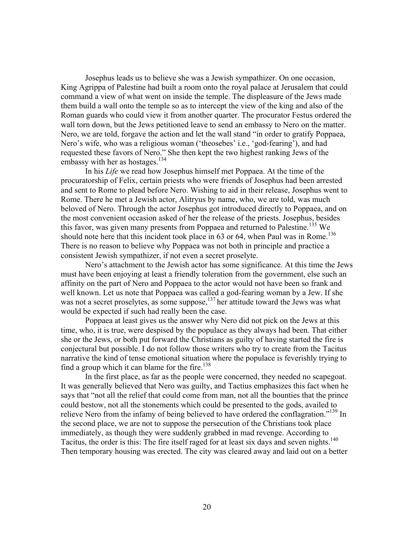Josephus leads us to believe she was a Jewish sympathizer. On one occasion, King Agrippa of Palestine had built a room onto the royal palace at Jerusalem that could command a view of what went on inside the temple. The displeasure of the Jews made them build a wall onto the temple so as to intercept the view of the king and also of the Roman guards who could view it from another quarter. The procurator Festus ordered the wall torn down, but the Jews petitioned leave to send an embassy to Nero on the matter. Nero, we are told, forgave the action and let the wall stand "in order to gratify Poppaea, Nero's wife, who was a religious woman ('theosebes' i.e., 'god-fearing'), and had requested these favors of Nero." She then kept the two highest ranking Jews of the embassy with her as hostages.<sup>[134](#page-47-133)</sup>

 In his *Life* we read how Josephus himself met Poppaea. At the time of the procuratorship of Felix, certain priests who were friends of Josephus had been arrested and sent to Rome to plead before Nero. Wishing to aid in their release, Josephus went to Rome. There he met a Jewish actor, Alitryus by name, who, we are told, was much beloved of Nero. Through the actor Josephus got introduced directly to Poppaea, and on the most convenient occasion asked of her the release of the priests. Josephus, besides this favor, was given many presents from Poppaea and returned to Palestine.<sup>135</sup> We should note here that this incident took place in 63 or 64, when Paul was in Rome.<sup>[136](#page-47-135)</sup> There is no reason to believe why Poppaea was not both in principle and practice a consistent Jewish sympathizer, if not even a secret proselyte.

Nero's attachment to the Jewish actor has some significance. At this time the Jews must have been enjoying at least a friendly toleration from the government, else such an affinity on the part of Nero and Poppaea to the actor would not have been so frank and well known. Let us note that Poppaea was called a god-fearing woman by a Jew. If she was not a secret proselytes, as some suppose,  $137$  her attitude toward the Jews was what would be expected if such had really been the case.

Poppaea at least gives us the answer why Nero did not pick on the Jews at this time, who, it is true, were despised by the populace as they always had been. That either she or the Jews, or both put forward the Christians as guilty of having started the fire is conjectural but possible. I do not follow those writers who try to create from the Tacitus narrative the kind of tense emotional situation where the populace is feverishly trying to find a group which it can blame for the fire. $138$ 

In the first place, as far as the people were concerned, they needed no scapegoat. It was generally believed that Nero was guilty, and Tactius emphasizes this fact when he says that "not all the relief that could come from man, not all the bounties that the prince could bestow, not all the stonements which could be presented to the gods, availed to relieve Nero from the infamy of being believed to have ordered the conflagration."<sup>139</sup> In the second place, we are not to suppose the persecution of the Christians took place immediately, as though they were suddenly grabbed in mad revenge. According to Tacitus, the order is this: The fire itself raged for at least six days and seven nights.<sup>[140](#page-47-100)</sup> Then temporary housing was erected. The city was cleared away and laid out on a better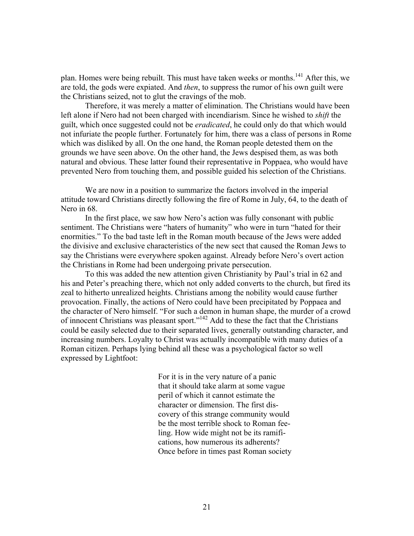plan. Homes were being rebuilt. This must have taken weeks or months.<sup>141</sup> After this, we are told, the gods were expiated. And *then*, to suppress the rumor of his own guilt were the Christians seized, not to glut the cravings of the mob.

Therefore, it was merely a matter of elimination. The Christians would have been left alone if Nero had not been charged with incendiarism. Since he wished to *shift* the guilt, which once suggested could not be *eradicated*, he could only do that which would not infuriate the people further. Fortunately for him, there was a class of persons in Rome which was disliked by all. On the one hand, the Roman people detested them on the grounds we have seen above. On the other hand, the Jews despised them, as was both natural and obvious. These latter found their representative in Poppaea, who would have prevented Nero from touching them, and possible guided his selection of the Christians.

We are now in a position to summarize the factors involved in the imperial attitude toward Christians directly following the fire of Rome in July, 64, to the death of Nero in 68.

In the first place, we saw how Nero's action was fully consonant with public sentiment. The Christians were "haters of humanity" who were in turn "hated for their enormities." To the bad taste left in the Roman mouth because of the Jews were added the divisive and exclusive characteristics of the new sect that caused the Roman Jews to say the Christians were everywhere spoken against. Already before Nero's overt action the Christians in Rome had been undergoing private persecution.

To this was added the new attention given Christianity by Paul's trial in 62 and his and Peter's preaching there, which not only added converts to the church, but fired its zeal to hitherto unrealized heights. Christians among the nobility would cause further provocation. Finally, the actions of Nero could have been precipitated by Poppaea and the character of Nero himself. "For such a demon in human shape, the murder of a crowd of innocent Christians was pleasant sport."<sup>142</sup> Add to these the fact that the Christians could be easily selected due to their separated lives, generally outstanding character, and increasing numbers. Loyalty to Christ was actually incompatible with many duties of a Roman citizen. Perhaps lying behind all these was a psychological factor so well expressed by Lightfoot:

> For it is in the very nature of a panic that it should take alarm at some vague peril of which it cannot estimate the character or dimension. The first discovery of this strange community would be the most terrible shock to Roman feeling. How wide might not be its ramifications, how numerous its adherents? Once before in times past Roman society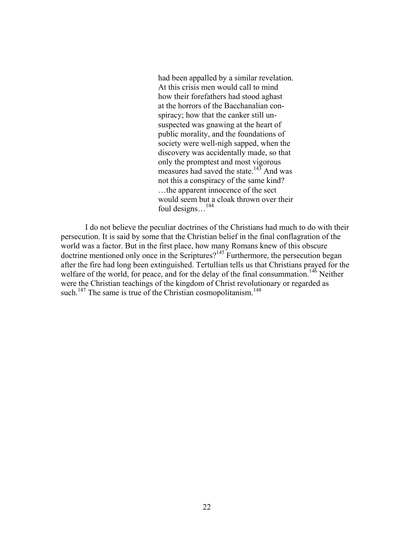had been appalled by a similar revelation. At this crisis men would call to mind how their forefathers had stood aghast at the horrors of the Bacchanalian conspiracy; how that the canker still unsuspected was gnawing at the heart of public morality, and the foundations of society were well-nigh sapped, when the discovery was accidentally made, so that only the promptest and most vigorous measures had saved the state.<sup>143</sup> And was not this a conspiracy of the same kind? …the apparent innocence of the sect would seem but a cloak thrown over their foul designs...<sup>[144](#page-47-138)</sup>

I do not believe the peculiar doctrines of the Christians had much to do with their persecution. It is said by some that the Christian belief in the final conflagration of the world was a factor. But in the first place, how many Romans knew of this obscure doctrine mentioned only once in the Scriptures? [145](#page-47-139) Furthermore, the persecution began after the fire had long been extinguished. Tertullian tells us that Christians prayed for the welfare of the world, for peace, and for the delay of the final consummation.<sup>146</sup> Neither were the Christian teachings of the kingdom of Christ revolutionary or regarded as such.<sup>147</sup> The same is true of the Christian cosmopolitanism.<sup>[148](#page-47-142)</sup>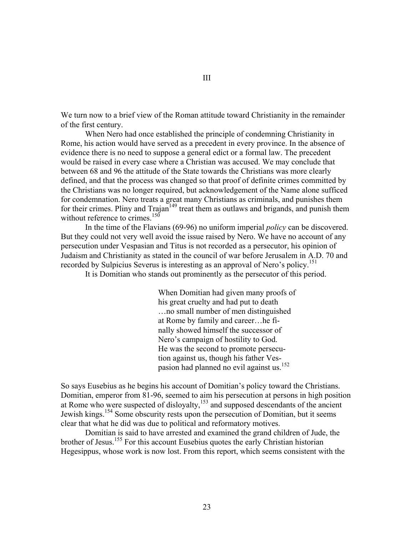We turn now to a brief view of the Roman attitude toward Christianity in the remainder of the first century.

When Nero had once established the principle of condemning Christianity in Rome, his action would have served as a precedent in every province. In the absence of evidence there is no need to suppose a general edict or a formal law. The precedent would be raised in every case where a Christian was accused. We may conclude that between 68 and 96 the attitude of the State towards the Christians was more clearly defined, and that the process was changed so that proof of definite crimes committed by the Christians was no longer required, but acknowledgement of the Name alone sufficed for condemnation. Nero treats a great many Christians as criminals, and punishes them for their crimes. Pliny and  $Trajan<sup>149</sup>$  treat them as outlaws and brigands, and punish them without reference to crimes.<sup>[150](#page-47-119)</sup>

In the time of the Flavians (69-96) no uniform imperial *policy* can be discovered. But they could not very well avoid the issue raised by Nero. We have no account of any persecution under Vespasian and Titus is not recorded as a persecutor, his opinion of Judaism and Christianity as stated in the council of war before Jerusalem in A.D. 70 and recorded by Sulpicius Severus is interesting as an approval of Nero's policy.<sup>[151](#page-47-120)</sup>

It is Domitian who stands out prominently as the persecutor of this period.

When Domitian had given many proofs of his great cruelty and had put to death …no small number of men distinguished at Rome by family and career…he finally showed himself the successor of Nero's campaign of hostility to God. He was the second to promote persecution against us, though his father Ves-pasion had planned no evil against us.<sup>[152](#page-47-132)</sup>

So says Eusebius as he begins his account of Domitian's policy toward the Christians. Domitian, emperor from 81-96, seemed to aim his persecution at persons in high position at Rome who were suspected of disloyalty, $153$  and supposed descendants of the ancient Jewish kings.<sup>154</sup> Some obscurity rests upon the persecution of Domitian, but it seems clear that what he did was due to political and reformatory motives.

Domitian is said to have arrested and examined the grand children of Jude, the brother of Jesus[.155](#page-47-135) For this account Eusebius quotes the early Christian historian Hegesippus, whose work is now lost. From this report, which seems consistent with the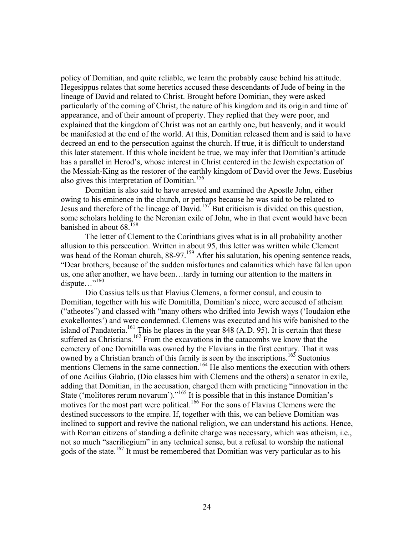policy of Domitian, and quite reliable, we learn the probably cause behind his attitude. Hegesippus relates that some heretics accused these descendants of Jude of being in the lineage of David and related to Christ. Brought before Domitian, they were asked particularly of the coming of Christ, the nature of his kingdom and its origin and time of appearance, and of their amount of property. They replied that they were poor, and explained that the kingdom of Christ was not an earthly one, but heavenly, and it would be manifested at the end of the world. At this, Domitian released them and is said to have decreed an end to the persecution against the church. If true, it is difficult to understand this later statement. If this whole incident be true, we may infer that Domitian's attitude has a parallel in Herod's, whose interest in Christ centered in the Jewish expectation of the Messiah-King as the restorer of the earthly kingdom of David over the Jews. Eusebius also gives this interpretation of Domitian.<sup>156</sup>

Domitian is also said to have arrested and examined the Apostle John, either owing to his eminence in the church, or perhaps because he was said to be related to Jesus and therefore of the lineage of David.[157](#page-47-97) But criticism is divided on this question, some scholars holding to the Neronian exile of John, who in that event would have been banished in about  $68^{158}$  $68^{158}$  $68^{158}$ 

The letter of Clement to the Corinthians gives what is in all probability another allusion to this persecution. Written in about 95, this letter was written while Clement was head of the Roman church,  $88-97$ .<sup>159</sup> After his salutation, his opening sentence reads, "Dear brothers, because of the sudden misfortunes and calamities which have fallen upon us, one after another, we have been…tardy in turning our attention to the matters in dispute…"<sup>160</sup>

Dio Cassius tells us that Flavius Clemens, a former consul, and cousin to Domitian, together with his wife Domitilla, Domitian's niece, were accused of atheism ("atheotes") and classed with "many others who drifted into Jewish ways ('Ioudaion ethe exokellontes') and were condemned. Clemens was executed and his wife banished to the island of Pandateria.<sup>161</sup> This he places in the year 848 (A.D. 95). It is certain that these suffered as Christians.<sup>162</sup> From the excavations in the catacombs we know that the cemetery of one Domitilla was owned by the Flavians in the first century. That it was owned by a Christian branch of this family is seen by the inscriptions.<sup>163</sup> Suetonius mentions Clemens in the same connection.<sup>164</sup> He also mentions the execution with others of one Acilius Glabrio, (Dio classes him with Clemens and the others) a senator in exile, adding that Domitian, in the accusation, charged them with practicing "innovation in the State ('molitores rerum novarum')."<sup>165</sup> It is possible that in this instance Domitian's motives for the most part were political.<sup>166</sup> For the sons of Flavius Clemens were the destined successors to the empire. If, together with this, we can believe Domitian was inclined to support and revive the national religion, we can understand his actions. Hence, with Roman citizens of standing a definite charge was necessary, which was atheism, *i.e.*, not so much "sacriliegium" in any technical sense, but a refusal to worship the national gods of the state.<sup>167</sup> It must be remembered that Domitian was very particular as to his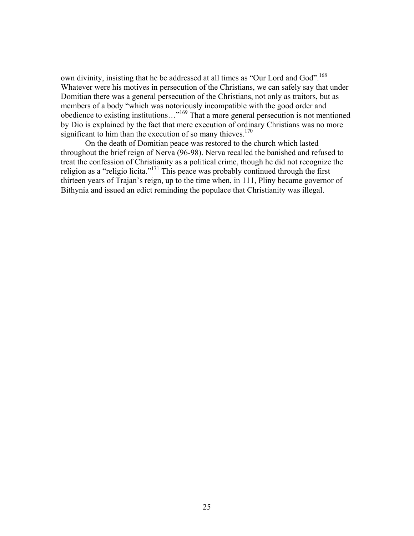own divinity, insisting that he be addressed at all times as "Our Lord and God".<sup>[168](#page-47-139)</sup> Whatever were his motives in persecution of the Christians, we can safely say that under Domitian there was a general persecution of the Christians, not only as traitors, but as members of a body "which was notoriously incompatible with the good order and obedience to existing institutions…"[169](#page-47-140) That a more general persecution is not mentioned by Dio is explained by the fact that mere execution of ordinary Christians was no more significant to him than the execution of so many thieves. $170$ 

On the death of Domitian peace was restored to the church which lasted throughout the brief reign of Nerva (96-98). Nerva recalled the banished and refused to treat the confession of Christianity as a political crime, though he did not recognize the religion as a "religio licita."[171](#page-47-149) This peace was probably continued through the first thirteen years of Trajan's reign, up to the time when, in 111, Pliny became governor of Bithynia and issued an edict reminding the populace that Christianity was illegal.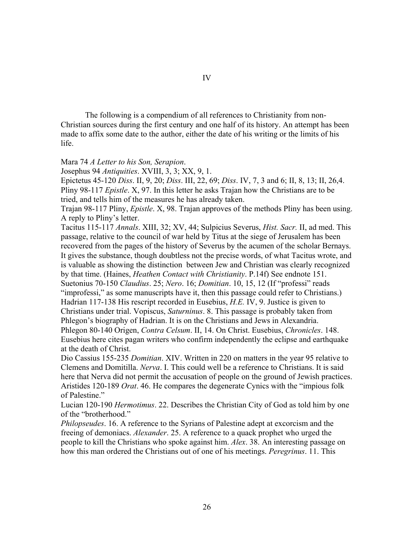The following is a compendium of all references to Christianity from non-Christian sources during the first century and one half of its history. An attempt has been made to affix some date to the author, either the date of his writing or the limits of his life.

Mara 74 *A Letter to his Son, Serapion*.

Josephus 94 *Antiquities*. XVIII, 3, 3; XX, 9, 1.

Epictetus 45-120 *Diss*. II, 9, 20; *Diss*. III, 22, 69; *Diss*. IV, 7, 3 and 6; II, 8, 13; II, 26,4. Pliny 98-117 *Epistle*. X, 97. In this letter he asks Trajan how the Christians are to be tried, and tells him of the measures he has already taken.

Trajan 98-117 Pliny, *Epistle*. X, 98. Trajan approves of the methods Pliny has been using. A reply to Pliny's letter.

Tacitus 115-117 *Annals*. XIII, 32; XV, 44; Sulpicius Severus, *Hist. Sacr.* II, ad med. This passage, relative to the council of war held by Titus at the siege of Jerusalem has been recovered from the pages of the history of Severus by the acumen of the scholar Bernays. It gives the substance, though doubtless not the precise words, of what Tacitus wrote, and is valuable as showing the distinction between Jew and Christian was clearly recognized by that time. (Haines, *Heathen Contact with Christianity*. P.14f) See endnote 151. Suetonius 70-150 *Claudius*. 25; *Nero*. 16; *Domitian*. 10, 15, 12 (If "professi" reads "improfessi," as some manuscripts have it, then this passage could refer to Christians.) Hadrian 117-138 His rescript recorded in Eusebius, *H.E.* IV, 9. Justice is given to Christians under trial. Vopiscus, *Saturninus*. 8. This passage is probably taken from Phlegon's biography of Hadrian. It is on the Christians and Jews in Alexandria. Phlegon 80-140 Origen, *Contra Celsum*. II, 14. On Christ. Eusebius, *Chronicles*. 148. Eusebius here cites pagan writers who confirm independently the eclipse and earthquake at the death of Christ.

Dio Cassius 155-235 *Domitian*. XIV. Written in 220 on matters in the year 95 relative to Clemens and Domitilla. *Nerva*. I. This could well be a reference to Christians. It is said here that Nerva did not permit the accusation of people on the ground of Jewish practices. Aristides 120-189 *Orat*. 46. He compares the degenerate Cynics with the "impious folk of Palestine."

Lucian 120-190 *Hermotimus*. 22. Describes the Christian City of God as told him by one of the "brotherhood."

*Philopseudes*. 16. A reference to the Syrians of Palestine adept at excorcism and the freeing of demoniacs. *Alexander*. 25. A reference to a quack prophet who urged the people to kill the Christians who spoke against him. *Alex*. 38. An interesting passage on how this man ordered the Christians out of one of his meetings. *Peregrinus*. 11. This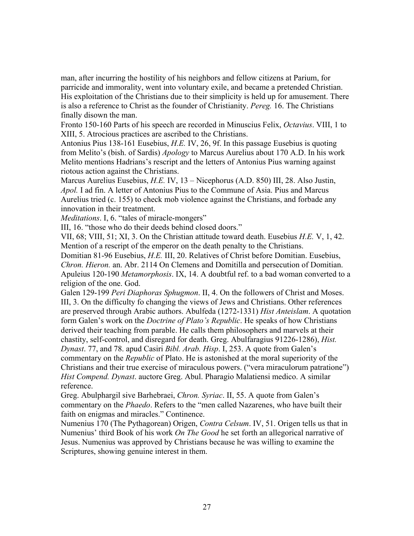man, after incurring the hostility of his neighbors and fellow citizens at Parium, for parricide and immorality, went into voluntary exile, and became a pretended Christian. His exploitation of the Christians due to their simplicity is held up for amusement. There is also a reference to Christ as the founder of Christianity. *Pereg.* 16. The Christians finally disown the man.

Fronto 150-160 Parts of his speech are recorded in Minuscius Felix, *Octavius*. VIII, 1 to XIII, 5. Atrocious practices are ascribed to the Christians.

Antonius Pius 138-161 Eusebius, *H.E.* IV, 26, 9f. In this passage Eusebius is quoting from Melito's (bish. of Sardis) *Apology* to Marcus Aurelius about 170 A.D. In his work Melito mentions Hadrians's rescript and the letters of Antonius Pius warning against riotous action against the Christians.

Marcus Aurelius Eusebius, *H.E.* IV, 13 – Nicephorus (A.D. 850) III, 28. Also Justin, *Apol.* I ad fin. A letter of Antonius Pius to the Commune of Asia. Pius and Marcus Aurelius tried (c. 155) to check mob violence against the Christians, and forbade any innovation in their treatment.

*Meditations*. I, 6. "tales of miracle-mongers"

III, 16. "those who do their deeds behind closed doors."

VII, 68; VIII, 51; XI, 3. On the Christian attitude toward death. Eusebius *H.E.* V, 1, 42. Mention of a rescript of the emperor on the death penalty to the Christians.

Domitian 81-96 Eusebius, *H.E.* III, 20. Relatives of Christ before Domitian. Eusebius, *Chron. Hieron.* an. Abr. 2114 On Clemens and Domitilla and persecution of Domitian. Apuleius 120-190 *Metamorphosis*. IX, 14. A doubtful ref. to a bad woman converted to a religion of the one. God.

Galen 129-199 *Peri Diaphoras Sphugmon*. II, 4. On the followers of Christ and Moses. III, 3. On the difficulty fo changing the views of Jews and Christians. Other references are preserved through Arabic authors. Abulfeda (1272-1331) *Hist Anteislam*. A quotation form Galen's work on the *Doctrine of Plato's Republic*. He speaks of how Christians derived their teaching from parable. He calls them philosophers and marvels at their chastity, self-control, and disregard for death. Greg. Abulfaragius 91226-1286), *Hist. Dynast*. 77, and 78. apud Casiri *Bibl. Arab. Hisp*. I, 253. A quote from Galen's commentary on the *Republic* of Plato. He is astonished at the moral superiority of the Christians and their true exercise of miraculous powers. ("vera miraculorum patratione") *Hist Compend. Dynast*. auctore Greg. Abul. Pharagio Malatiensi medico. A similar reference.

Greg. Abulphargil sive Barhebraei, *Chron. Syriac*. II, 55. A quote from Galen's commentary on the *Phaedo*. Refers to the "men called Nazarenes, who have built their faith on enigmas and miracles." Continence.

Numenius 170 (The Pythagorean) Origen, *Contra Celsum*. IV, 51. Origen tells us that in Numenius' third Book of his work *On The Good* he set forth an allegorical narrative of Jesus. Numenius was approved by Christians because he was willing to examine the Scriptures, showing genuine interest in them.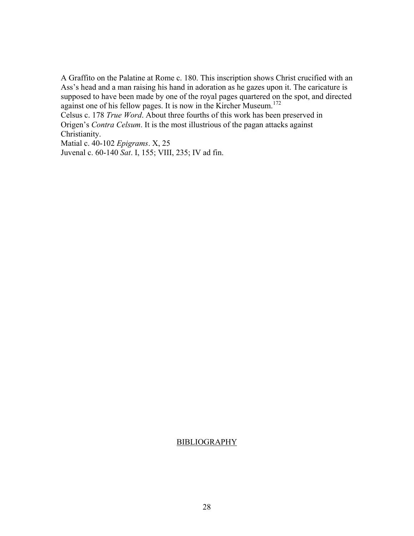A Graffito on the Palatine at Rome c. 180. This inscription shows Christ crucified with an Ass's head and a man raising his hand in adoration as he gazes upon it. The caricature is supposed to have been made by one of the royal pages quartered on the spot, and directed against one of his fellow pages. It is now in the Kircher Museum.<sup>[172](#page-47-150)</sup>

Celsus c. 178 *True Word*. About three fourths of this work has been preserved in Origen's *Contra Celsum*. It is the most illustrious of the pagan attacks against Christianity.

Matial c. 40-102 *Epigrams*. X, 25 Juvenal c. 60-140 *Sat*. I, 155; VIII, 235; IV ad fin.

### BIBLIOGRAPHY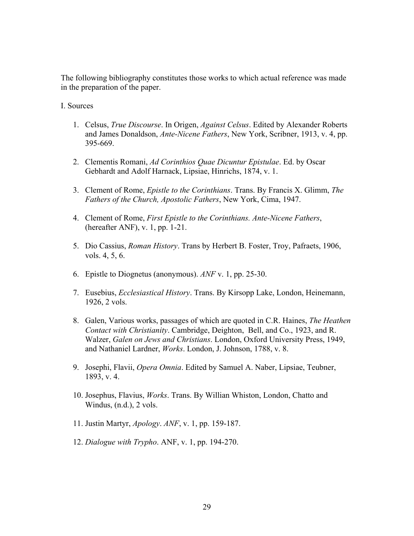The following bibliography constitutes those works to which actual reference was made in the preparation of the paper.

I. Sources

- 1. Celsus, *True Discourse*. In Origen, *Against Celsus*. Edited by Alexander Roberts and James Donaldson, *Ante-Nicene Fathers*, New York, Scribner, 1913, v. 4, pp. 395-669.
- 2. Clementis Romani, *Ad Corinthios Quae Dicuntur Epistulae*. Ed. by Oscar Gebhardt and Adolf Harnack, Lipsiae, Hinrichs, 1874, v. 1.
- 3. Clement of Rome, *Epistle to the Corinthians*. Trans. By Francis X. Glimm, *The Fathers of the Church, Apostolic Fathers*, New York, Cima, 1947.
- 4. Clement of Rome, *First Epistle to the Corinthians. Ante-Nicene Fathers*, (hereafter ANF), v. 1, pp. 1-21.
- 5. Dio Cassius, *Roman History*. Trans by Herbert B. Foster, Troy, Pafraets, 1906, vols. 4, 5, 6.
- 6. Epistle to Diognetus (anonymous). *ANF* v. 1, pp. 25-30.
- 7. Eusebius, *Ecclesiastical History*. Trans. By Kirsopp Lake, London, Heinemann, 1926, 2 vols.
- 8. Galen, Various works, passages of which are quoted in C.R. Haines, *The Heathen Contact with Christianity*. Cambridge, Deighton, Bell, and Co., 1923, and R. Walzer, *Galen on Jews and Christians*. London, Oxford University Press, 1949, and Nathaniel Lardner, *Works*. London, J. Johnson, 1788, v. 8.
- 9. Josephi, Flavii, *Opera Omnia*. Edited by Samuel A. Naber, Lipsiae, Teubner, 1893, v. 4.
- 10. Josephus, Flavius, *Works*. Trans. By Willian Whiston, London, Chatto and Windus, (n.d.), 2 vols.
- 11. Justin Martyr, *Apology*. *ANF*, v. 1, pp. 159-187.
- 12. *Dialogue with Trypho*. ANF, v. 1, pp. 194-270.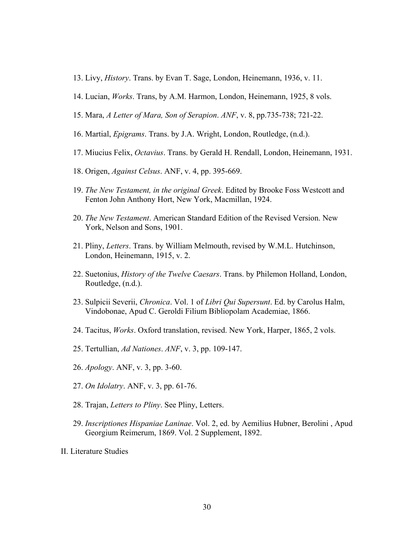- 13. Livy, *History*. Trans. by Evan T. Sage, London, Heinemann, 1936, v. 11.
- 14. Lucian, *Works*. Trans, by A.M. Harmon, London, Heinemann, 1925, 8 vols.
- 15. Mara, *A Letter of Mara, Son of Serapion*. *ANF*, v. 8, pp.735-738; 721-22.
- 16. Martial, *Epigrams*. Trans. by J.A. Wright, London, Routledge, (n.d.).
- 17. Miucius Felix, *Octavius*. Trans. by Gerald H. Rendall, London, Heinemann, 1931.
- 18. Origen, *Against Celsus*. ANF, v. 4, pp. 395-669.
- 19. *The New Testament, in the original Greek*. Edited by Brooke Foss Westcott and Fenton John Anthony Hort, New York, Macmillan, 1924.
- 20. *The New Testament*. American Standard Edition of the Revised Version. New York, Nelson and Sons, 1901.
- 21. Pliny, *Letters*. Trans. by William Melmouth, revised by W.M.L. Hutchinson, London, Heinemann, 1915, v. 2.
- 22. Suetonius, *History of the Twelve Caesars*. Trans. by Philemon Holland, London, Routledge, (n.d.).
- 23. Sulpicii Severii, *Chronica*. Vol. 1 of *Libri Qui Supersunt*. Ed. by Carolus Halm, Vindobonae, Apud C. Geroldi Filium Bibliopolam Academiae, 1866.
- 24. Tacitus, *Works*. Oxford translation, revised. New York, Harper, 1865, 2 vols.
- 25. Tertullian, *Ad Nationes*. *ANF*, v. 3, pp. 109-147.
- 26. *Apology*. ANF, v. 3, pp. 3-60.
- 27. *On Idolatry*. ANF, v. 3, pp. 61-76.
- 28. Trajan, *Letters to Pliny*. See Pliny, Letters.
- 29. *Inscriptiones Hispaniae Laninae*. Vol. 2, ed. by Aemilius Hubner, Berolini , Apud Georgium Reimerum, 1869. Vol. 2 Supplement, 1892.
- II. Literature Studies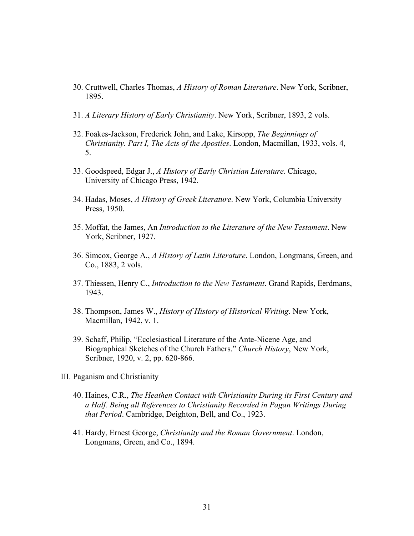- 30. Cruttwell, Charles Thomas, *A History of Roman Literature*. New York, Scribner, 1895.
- 31. *A Literary History of Early Christianity*. New York, Scribner, 1893, 2 vols.
- 32. Foakes-Jackson, Frederick John, and Lake, Kirsopp, *The Beginnings of Christianity. Part I, The Acts of the Apostles*. London, Macmillan, 1933, vols. 4, 5.
- 33. Goodspeed, Edgar J., *A History of Early Christian Literature*. Chicago, University of Chicago Press, 1942.
- 34. Hadas, Moses, *A History of Greek Literature*. New York, Columbia University Press, 1950.
- 35. Moffat, the James, An *Introduction to the Literature of the New Testament*. New York, Scribner, 1927.
- 36. Simcox, George A., *A History of Latin Literature*. London, Longmans, Green, and Co., 1883, 2 vols.
- 37. Thiessen, Henry C., *Introduction to the New Testament*. Grand Rapids, Eerdmans, 1943.
- 38. Thompson, James W., *History of History of Historical Writing*. New York, Macmillan, 1942, v. 1.
- 39. Schaff, Philip, "Ecclesiastical Literature of the Ante-Nicene Age, and Biographical Sketches of the Church Fathers." *Church History*, New York, Scribner, 1920, v. 2, pp. 620-866.
- III. Paganism and Christianity
	- 40. Haines, C.R., *The Heathen Contact with Christianity During its First Century and a Half. Being all References to Christianity Recorded in Pagan Writings During that Period*. Cambridge, Deighton, Bell, and Co., 1923.
	- 41. Hardy, Ernest George, *Christianity and the Roman Government*. London, Longmans, Green, and Co., 1894.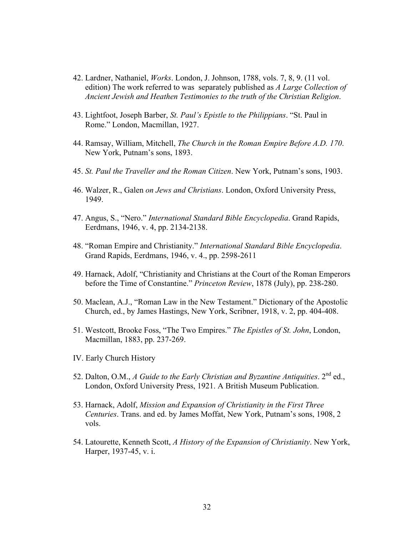- 42. Lardner, Nathaniel, *Works*. London, J. Johnson, 1788, vols. 7, 8, 9. (11 vol. edition) The work referred to was separately published as *A Large Collection of Ancient Jewish and Heathen Testimonies to the truth of the Christian Religion*.
- 43. Lightfoot, Joseph Barber, *St. Paul's Epistle to the Philippians*. "St. Paul in Rome." London, Macmillan, 1927.
- 44. Ramsay, William, Mitchell, *The Church in the Roman Empire Before A.D. 170*. New York, Putnam's sons, 1893.
- 45. *St. Paul the Traveller and the Roman Citizen*. New York, Putnam's sons, 1903.
- 46. Walzer, R., Galen *on Jews and Christians*. London, Oxford University Press, 1949.
- 47. Angus, S., "Nero." *International Standard Bible Encyclopedia*. Grand Rapids, Eerdmans, 1946, v. 4, pp. 2134-2138.
- 48. "Roman Empire and Christianity." *International Standard Bible Encyclopedia*. Grand Rapids, Eerdmans, 1946, v. 4., pp. 2598-2611
- 49. Harnack, Adolf, "Christianity and Christians at the Court of the Roman Emperors before the Time of Constantine." *Princeton Review*, 1878 (July), pp. 238-280.
- 50. Maclean, A.J., "Roman Law in the New Testament." Dictionary of the Apostolic Church, ed., by James Hastings, New York, Scribner, 1918, v. 2, pp. 404-408.
- 51. Westcott, Brooke Foss, "The Two Empires." *The Epistles of St. John*, London, Macmillan, 1883, pp. 237-269.
- IV. Early Church History
- 52. Dalton, O.M., *A Guide to the Early Christian and Byzantine Antiquities*. 2nd ed., London, Oxford University Press, 1921. A British Museum Publication.
- 53. Harnack, Adolf, *Mission and Expansion of Christianity in the First Three Centuries*. Trans. and ed. by James Moffat, New York, Putnam's sons, 1908, 2 vols.
- 54. Latourette, Kenneth Scott, *A History of the Expansion of Christianity*. New York, Harper, 1937-45, v. i.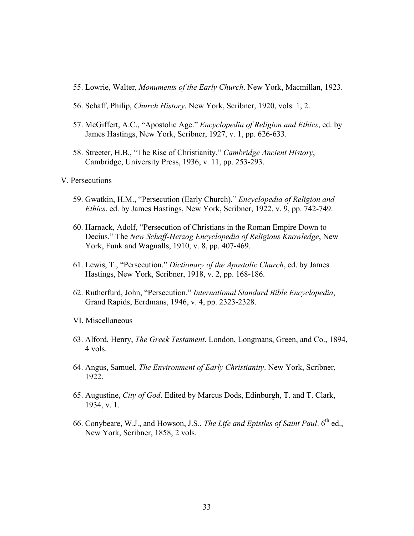- 55. Lowrie, Walter, *Monuments of the Early Church*. New York, Macmillan, 1923.
- 56. Schaff, Philip, *Church History*. New York, Scribner, 1920, vols. 1, 2.
- 57. McGiffert, A.C., "Apostolic Age." *Encyclopedia of Religion and Ethics*, ed. by James Hastings, New York, Scribner, 1927, v. 1, pp. 626-633.
- 58. Streeter, H.B., "The Rise of Christianity." *Cambridge Ancient History*, Cambridge, University Press, 1936, v. 11, pp. 253-293.
- V. Persecutions
	- 59. Gwatkin, H.M., "Persecution (Early Church)." *Encyclopedia of Religion and Ethics*, ed. by James Hastings, New York, Scribner, 1922, v. 9, pp. 742-749.
	- 60. Harnack, Adolf, "Persecution of Christians in the Roman Empire Down to Decius." The *New Schaff-Herzog Encyclopedia of Religious Knowledge*, New York, Funk and Wagnalls, 1910, v. 8, pp. 407-469.
	- 61. Lewis, T., "Persecution." *Dictionary of the Apostolic Church*, ed. by James Hastings, New York, Scribner, 1918, v. 2, pp. 168-186.
	- 62. Rutherfurd, John, "Persecution." *International Standard Bible Encyclopedia*, Grand Rapids, Eerdmans, 1946, v. 4, pp. 2323-2328.
	- VI. Miscellaneous
	- 63. Alford, Henry, *The Greek Testament*. London, Longmans, Green, and Co., 1894, 4 vols.
	- 64. Angus, Samuel, *The Environment of Early Christianity*. New York, Scribner, 1922.
	- 65. Augustine, *City of God*. Edited by Marcus Dods, Edinburgh, T. and T. Clark, 1934, v. 1.
	- 66. Conybeare, W.J., and Howson, J.S., *The Life and Epistles of Saint Paul*. 6<sup>th</sup> ed., New York, Scribner, 1858, 2 vols.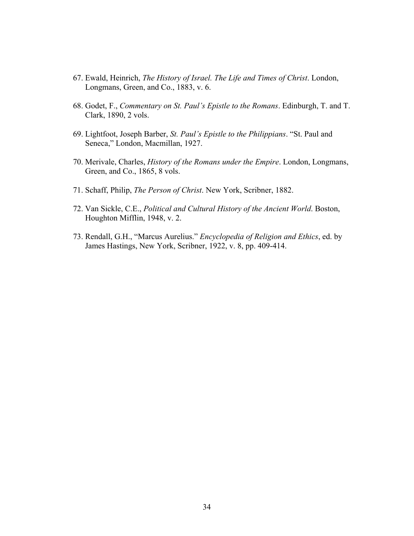- 67. Ewald, Heinrich, *The History of Israel. The Life and Times of Christ*. London, Longmans, Green, and Co., 1883, v. 6.
- 68. Godet, F., *Commentary on St. Paul's Epistle to the Romans*. Edinburgh, T. and T. Clark, 1890, 2 vols.
- 69. Lightfoot, Joseph Barber, *St. Paul's Epistle to the Philippians*. "St. Paul and Seneca," London, Macmillan, 1927.
- 70. Merivale, Charles, *History of the Romans under the Empire*. London, Longmans, Green, and Co., 1865, 8 vols.
- 71. Schaff, Philip, *The Person of Christ*. New York, Scribner, 1882.
- 72. Van Sickle, C.E., *Political and Cultural History of the Ancient World*. Boston, Houghton Mifflin, 1948, v. 2.
- 73. Rendall, G.H., "Marcus Aurelius." *Encyclopedia of Religion and Ethics*, ed. by James Hastings, New York, Scribner, 1922, v. 8, pp. 409-414.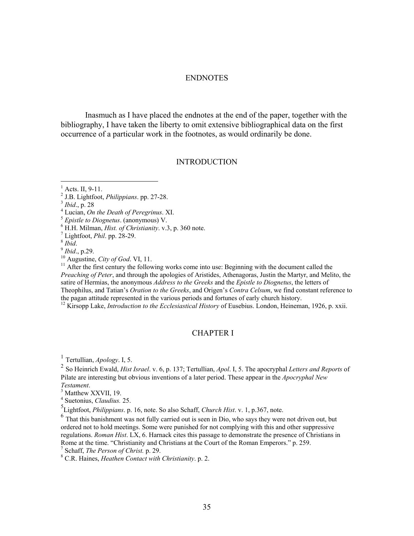#### ENDNOTES

Inasmuch as I have placed the endnotes at the end of the paper, together with the bibliography, I have taken the liberty to omit extensive bibliographical data on the first occurrence of a particular work in the footnotes, as would ordinarily be done.

### **INTRODUCTION**

 $<sup>1</sup>$  Acts. II, 9-11.</sup>

Lucian, *On the Death of Peregrinus*. XI. 5 *Epistle to Diognetus*. (anonymous) V. 6

 ${}^{6}$  H.H. Milman, *Hist. of Christianity.* v.3, p. 360 note.  ${}^{7}$  Lightfoot, *Phil.* pp. 28-29.

 $\overline{a}$ 

<sup>8</sup> *Ibid.*<br><sup>9</sup> *Ibid.*, p. 29. <sup>10</sup> Augustine, *City of God.* VI, 11. 11. <sup>11</sup> After the first century the following works come into use: Beginning with the document called the *Preaching of Peter*, and through the apologies of Aristides, Athenagoras, Justin the Martyr, and Melito, the satire of Hermias, the anonymous *Address to the Greeks* and the *Epistle to Diognetus*, the letters of Theophilus, and Tatian's *Oration to the Greeks*, and Origen's *Contra Celsum*, we find constant reference to the pagan attitude represented in the various periods and fortunes of early church history. 12 Kirsopp Lake, *Introduction to the Ecclesiastical History* of Eusebius. London, Heineman, 1926, p. xxii.

#### CHAPTER I

<sup>1</sup> Tertullian, *Apology*. I, 5.

<sup>2</sup> So Heinrich Ewald, *Hist Israel*. v. 6, p. 137; Tertullian, *Apol*. I, 5. The apocryphal *Letters and Reports* of Pilate are interesting but obvious inventions of a later period. These appear in the *Apocryphal New Testament*. <sup>3</sup>

<sup>3</sup> Matthew XXVII, 19.

4 Suetonius, *Claudius.* 25.

5 Lightfoot, *Philippians*. p. 16, note. So also Schaff, *Church Hist*. v. 1, p.367, note.

<sup>6</sup> That this banishment was not fully carried out is seen in Dio, who says they were not driven out, but ordered not to hold meetings. Some were punished for not complying with this and other suppressive regulations. *Roman Hist*. LX, 6. Harnack cites this passage to demonstrate the presence of Christians in Rome at the time. "Christianity and Christians at the Court of the Roman Emperors." p. 259.

<sup>7</sup> Schaff, *The Person of Christ.* p. 29.

C.R. Haines, *Heathen Contact with Christianity*. p. 2.

<sup>&</sup>lt;sup>2</sup> J.B. Lightfoot, *Philippians*. pp. 27-28.<br><sup>3</sup> *Ibid.*, p. 28<br><sup>4</sup> Lucian. On the Dasth of Baragninus. Y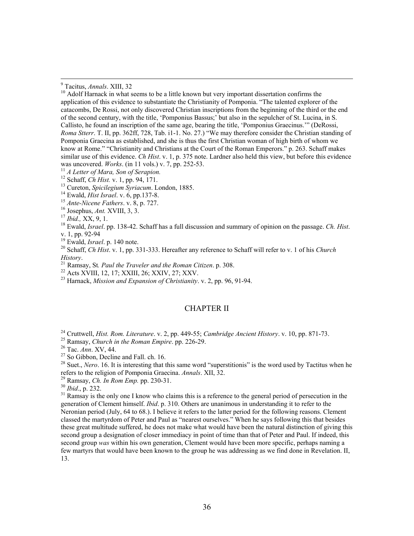23 Harnack, *Mission and Expansion of Christianity*. v. 2, pp. 96, 91-94.

#### CHAPTER II

<sup>28</sup> Suet., *Nero*. 16. It is interesting that this same word "superstitionis" is the word used by Tactitus when he refers to the religion of Pomponia Graecina. Annals. XII, 32.

<sup>29</sup> Ramsay, *Ch. In Rom Emp.* pp. 230-31.<br><sup>30</sup> *Ibid.*, p. 232.<br><sup>31</sup> Ramsay is the only one I know who claims this is a reference to the general period of persecution in the generation of Clement himself. *Ibid*. p. 310. Others are unanimous in understanding it to refer to the Neronian period (July, 64 to 68.). I believe it refers to the latter period for the following reasons. Clement classed the martyrdom of Peter and Paul as "nearest ourselves." When he says following this that besides these great multitude suffered, he does not make what would have been the natural distinction of giving this second group a designation of closer immediacy in point of time than that of Peter and Paul. If indeed, this second group *was* within his own generation, Clement would have been more specific, perhaps naming a few martyrs that would have been known to the group he was addressing as we find done in Revelation. II, 13.

<sup>-&</sup>lt;br>9

 $\frac{9}{10}$  Tacitus, *Annals*. XIII, 32<br><sup>10</sup> Adolf Harnack in what seems to be a little known but very important dissertation confirms the application of this evidence to substantiate the Christianity of Pomponia. "The talented explorer of the catacombs, De Rossi, not only discovered Christian inscriptions from the beginning of the third or the end of the second century, with the title, 'Pomponius Bassus;' but also in the sepulcher of St. Lucina, in S. Callisto, he found an inscription of the same age, bearing the title, 'Pomponius Graecinus.'" (DeRossi, *Roma Stterr*. T. II, pp. 362ff, 728, Tab. i1-1. No. 27.) "We may therefore consider the Christian standing of Pomponia Graecina as established, and she is thus the first Christian woman of high birth of whom we know at Rome." "Christianity and Christians at the Court of the Roman Emperors." p. 263. Schaff makes similar use of this evidence. *Ch Hist*. v. 1, p. 375 note. Lardner also held this view, but before this evidence was uncovered. *Works*. (in 11 vols.) v. 7, pp. 252-53.

<sup>&</sup>lt;sup>11</sup> *A Letter of Mara, Son of Serapion.*<br><sup>12</sup> Schaff, *Ch Hist.* v. 1, pp. 94, 171.<br><sup>13</sup> Cureton, *Spicilegium Syriacum*. London, 1885.<br><sup>14</sup> Ewald, *Hist Israel.* v. 6, pp. 137-8.<br><sup>15</sup> *Ante-Nicene Fathers.* v. 8, p. 727 v. 1, pp. 92-94<br><sup>19</sup> Ewald, *Israel*. p. 140 note.

<sup>&</sup>lt;sup>20</sup> Schaff, *Ch Hist*. v. 1, pp. 331-333. Hereafter any reference to Schaff will refer to v. 1 of his *Church History.*<br><sup>21</sup> Ramsay, St. *Paul the Traveler and the Roman Citizen.* p. 308.<br><sup>22</sup> Acts XVIII, 12, 17; XXIII, 26; XXIV, 27; XXV.

<sup>&</sup>lt;sup>24</sup> Cruttwell, *Hist. Rom. Literature.* v. 2, pp. 449-55; *Cambridge Ancient History.* v. 10, pp. 871-73.<br><sup>25</sup> Ramsay, *Church in the Roman Empire.* pp. 226-29.<br><sup>26</sup> Tac. *Ann.* XV, 44.<br><sup>27</sup> So Gibbon, Decline and Fall.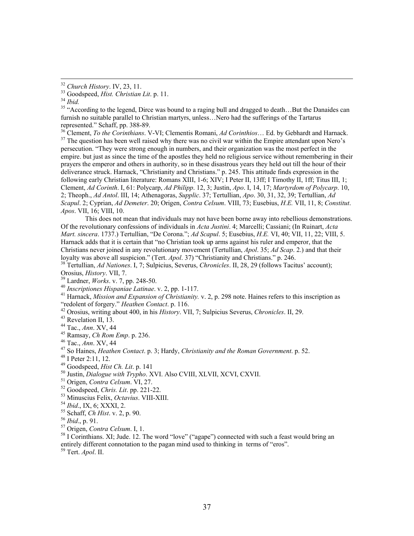<sup>32</sup> *Church History*. IV, 23, 11.<br><sup>33</sup> Goodspeed, *Hist. Christian Lit.* p. 11.<br><sup>35</sup> "According to the legend, Dirce was bound to a raging bull and dragged to death...But the Danaides can furnish no suitable parallel to Christian martyrs, unless…Nero had the sufferings of the Tartarus represented." Schaff, pp. 388-89.<br><sup>36</sup> Clement, *To the Corinthians*. V-VI; Clementis Romani, *Ad Corinthios*... Ed. by Gebhardt and Harnack.

<sup>37</sup> The question has been well raised why there was no civil war within the Empire attendant upon Nero's persecution. "They were strong enough in numbers, and their organization was the most perfect in the empire. but just as since the time of the apostles they held no religious service without remembering in their prayers the emperor and others in authority, so in these disastrous years they held out till the hour of their deliverance struck. Harnack, "Christianity and Christians." p. 245. This attitude finds expression in the following early Christian literature: Romans XIII, 1-6; XIV; I Peter II, 13ff; I Timothy II, 1ff; Titus III, 1; Clement, *Ad Corinth*. I, 61: Polycarp, *Ad Philipp*. 12, 3; Justin, *Apo*. I, 14, 17; *Martyrdom of Polycarp*. 10, 2; Theoph., *Ad Antol*. III, 14; Athenagoras, *Supplic*. 37; Tertullian, *Apo*. 30, 31, 32, 39; Tertullian, *Ad Scapul*. 2; Cyprian, *Ad Demeter*. 20; Origen, *Contra Celsum*. VIII, 73; Eusebius, *H.E.* VII, 11, 8; *Constitut*. *Apos*. VII, 16; VIII, 10.

This does not mean that individuals may not have been borne away into rebellious demonstrations. Of the revolutionary confessions of individuals in *Acta Justini*. 4; Marcelli; Cassiani; (In Ruinart, *Acta Mart. sincera*. 1737.) Tertullian, "De Corona."; *Ad Scapul*. 5; Eusebius, *H.E.* VI, 40; VII, 11, 22; VIII, 5. Harnack adds that it is certain that "no Christian took up arms against his ruler and emperor, that the Christians never joined in any revolutionary movement (Tertullian, *Apol*. 35; *Ad Scap*. 2.) and that their

<sup>38</sup> Tertullian, *Ad Nationes*. I, 7; Sulpicius, Severus, *Chronicles*. II, 28, 29 (follows Tacitus' account); Orosius, *History*. VII, 7.

<sup>39</sup> Lardner, *Works.* v. 7, pp. 248-50.<br><sup>40</sup> Inscriptiones Hispaniae Latinae. v. 2, pp. 1-117.<br><sup>41</sup> Harnack, *Mission and Expansion of Christianity.* v. 2, p. 298 note. Haines refers to this inscription as "redolent of forgery." *Heathen Contact*. p. 116.<br><sup>42</sup> Orosius, writing about 400, in his *History*. VII, 7; Sulpicius Severus, *Chronicles*. II, 29.<br><sup>43</sup> Revelation II, 13.<br><sup>44</sup> Tac., *Ann.* XV, 44

- 
- 
- <sup>45</sup> Ramsay, *Ch Rom Emp.* p. 236.<br><sup>46</sup> Tac., *Ann.* XV, 44<br><sup>47</sup> So Haines, *Heathen Contact.* p. 3; Hardy, *Christianity and the Roman Government.* p. 52.<br><sup>48</sup> I Peter 2:11, 12.<br><sup>49</sup> Goodspeed, *Hist Ch. Lit.* p. 141
- 

- 
- 

<sup>50</sup> Justin, *Dialogue with Trypho.* XVI. Also CVIII, XLVII, XCVI, CXVII.<br>
<sup>51</sup> Origen, *Contra Celsum.* VI, 27.<br>
<sup>52</sup> Goodspeed, *Chris. Lit.* pp. 221-22.<br>
<sup>53</sup> Minuscius Felix, *Octavius.* VIII-XIII.<br>
<sup>54</sup> *Ibid.*, IX, entirely different connotation to the pagan mind used to thinking in terms of "eros".

59 Tert. *Apol*. II.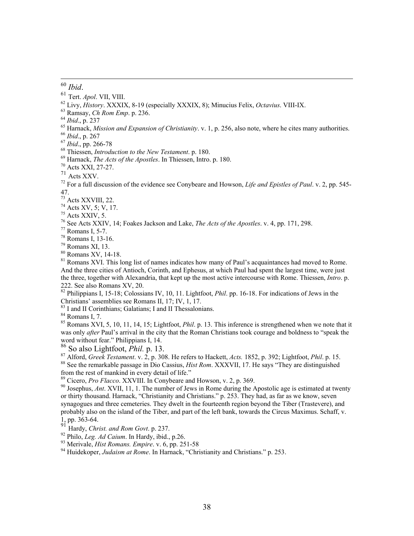- 
- 
- 
- 
- <sup>60</sup> *Ibid.*<br>
<sup>61</sup> Tert. *Apol.* VII, VIII.<br>
<sup>62</sup> Livy, *History*. XXXIX, 8-19 (especially XXXIX, 8); Minucius Felix, *Octavius*. VIII-IX.<br>
<sup>63</sup> Ramsay, *Ch Rom Emp.* p. 236.<br>
<sup>64</sup> *Ibid.*, p. 237<br>
<sup>65</sup> Harnack, *Mission*
- 
- 
- 
- 
- 
- 
- <sup>70</sup> Acts XXI, 27-27.<br><sup>71</sup> Acts XXV.<br><sup>72</sup> For a full discussion of the evidence see Convbeare and Howson. *Life and Epistles of Paul.* v. 2, pp. 545-47.
- $73$  Acts XXVIII, 22.
- 74 Acts XV, 5; V, 17.
- 75 Acts XXIV, 5.
- 76 See Acts XXIV, 14; Foakes Jackson and Lake, *The Acts of the Apostles*. v. 4, pp. 171, 298. 77 Romans I, 5-7.
- 
- 78 Romans I, 13-16.
- $79$  Romans XI, 13.
- 80 Romans XV, 14-18.

<sup>81</sup> Romans XVI. This long list of names indicates how many of Paul's acquaintances had moved to Rome. And the three cities of Antioch, Corinth, and Ephesus, at which Paul had spent the largest time, were just the three, together with Alexandria, that kept up the most active intercourse with Rome. Thiessen, *Intro*. p. 222. See also Romans XV, 20.

<sup>82</sup> Philippians I, 15-18; Colossians IV, 10, 11. Lightfoot, *Phil.* pp. 16-18. For indications of Jews in the Christians' assemblies see Romans II, 17; IV, 1, 17.

- 83 I and II Corinthians; Galatians; I and II Thessalonians.
- 84 Romans I, 7.

<sup>85</sup> Romans XVI, 5, 10, 11, 14, 15; Lightfoot, *Phil.* p. 13. This inference is strengthened when we note that it was only *after* Paul's arrival in the city that the Roman Christians took courage and boldness to "speak the word without fear." Philippians I, 14.<br><sup>86</sup> So also Lightfoot, *Phil.* p. 13.

<sup>87</sup> Alford, *Greek Testament.* v. 2, p. 308. He refers to Hackett, *Acts.* 1852, p. 392; Lightfoot, *Phil.* p. 15.<br><sup>88</sup> See the remarkable passage in Dio Cassius, *Hist Rom.* XXXVII, 17. He says "They are distinguished" from the rest of mankind in every detail of life."<br><sup>89</sup> Cicero, *Pro Flacco*. XXVIII. In Conybeare and Howson, v. 2, p. 369.

<sup>90</sup> Josephus, *Ant.* XVII, 11, 1. The number of Jews in Rome during the Apostolic age is estimated at twenty or thirty thousand. Harnack, "Christianity and Christians." p. 253. They had, as far as we know, seven synagogues and three cemeteries. They dwelt in the fourteenth region beyond the Tiber (Trastevere), and probably also on the island of the Tiber, and part of the left bank, towards the Circus Maximus. Schaff, v. 1, pp. 363-64.<br>
<sup>91</sup> Hardy, *Christ. and Rom Govt.* p. 237.

<sup>92</sup> Philo, *Leg. Ad Caium.* In Hardy, ibid., p.26.<br><sup>93</sup> Merivale, *Hist Romans. Empire.* v. 6, pp. 251-58<br><sup>94</sup> Huidekoper. *Judaism at Rome.* In Harnack. "Christianity and Christians." p. 253.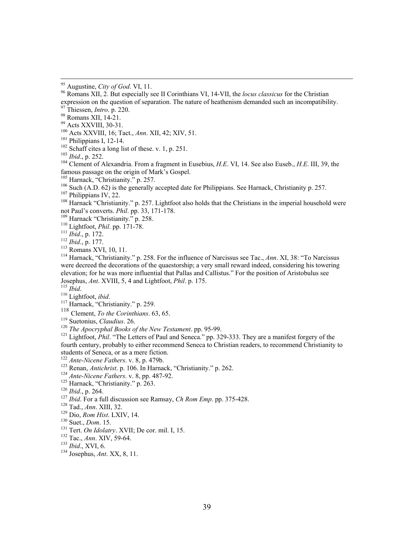<sup>97</sup> Thiessen, *Intro*. p. 220.<br><sup>98</sup> Romans XII, 14-21.

<sup>99</sup> Acts XXVIII, 30-31.<br><sup>100</sup> Acts XXVIII, 16; Tact., Ann. XII, 42; XIV, 51.

<sup>101</sup> Philippians I, 12-14.<br><sup>102</sup> Schaff cites a long list of these. v. 1, p. 251.<br><sup>103</sup> *Ibid.*, p. 252.<br><sup>104</sup> Clement of Alexandria. From a fragment in Eusebius, *H.E.* VI, 14. See also Euseb., *H.E.* III, 39, the famous passage on the origin of Mark's Gospel.<br><sup>105</sup> Harnack, "Christianity." p. 257.

<sup>106</sup> Such (A.D. 62) is the generally accepted date for Philippians. See Harnack, Christianity p. 257.<br><sup>107</sup> Philippians IV, 22.<br><sup>108</sup> Harnack "Christianity." p. 257. Lightfoot also holds that the Christians in the imperia

Transack Christianity.  $\mu$ ,  $257$ . Eightoot also holds that the Christians in the imperial holdschold we<br>not Paul's converts. *Phil.* pp. 33, 171-178.<br><sup>110</sup> Harnack "Christianity." p. 258.<br><sup>110</sup> Lightfoot, *Phil.* pp. 17

were decreed the decorations of the quaestorship; a very small reward indeed, considering his towering elevation; for he was more influential that Pallas and Callistus." For the position of Aristobulus see Josephus, *Ant*. XVIII, 5, 4 and Lightfoot, *Phil*. p. 175. 115 *Ibid*. 116 Lightfoot, *ibid*. 117 Harnack, "Christianity." p. 259.

<sup>119</sup> Suetonius, *Claudius*. 26.<br><sup>120</sup> *The Apocryphal Books of the New Testament*. pp. 95-99.<br><sup>121</sup> Lightfoot, *Phil*. "The Letters of Paul and Seneca." pp. 329-333. They are a manifest forgery of the fourth century, probably to either recommend Seneca to Christian readers, to recommend Christianity to students of Seneca, or as a mere fiction.<br><sup>122</sup> Ante-Nicene Fathers. v. 8, p. 479b.

<sup>123</sup> Renan, *Antichrist*. p. 106. In Harnack, "Christianity." p. 262.<br>
<sup>123</sup> Ante-Nicene Fathers. v. 8, pp. 487-92.<br>
<sup>125</sup> Harnack, "Christianity." p. 263.<br>
<sup>126</sup> Ibid., p. 264.<br>
<sup>127</sup> Ibid. For a full discussion see Ram

<sup>&</sup>lt;sup>95</sup> Augustine, *City of God*. VI, 11.<br><sup>96</sup> Romans XII, 2. But especially see II Corinthians VI, 14-VII, the *locus classicus* for the Christian expression on the question of separation. The nature of heathenism demanded such an incompatibility.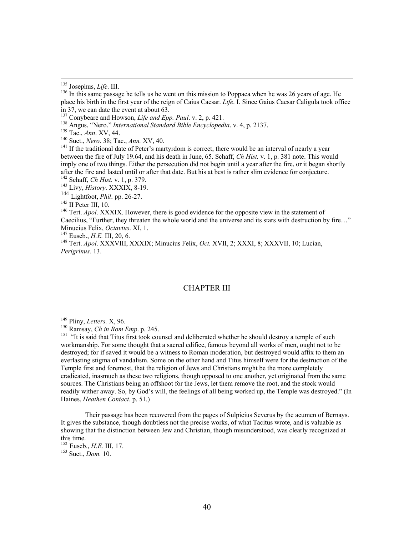<sup>138</sup> Angus, "Nero." *International Standard Bible Encyclopedia.* v. 4, p. 2137.<br><sup>139</sup> Tac., *Ann.* XV, 44.<br><sup>140</sup> Suet., *Nero.* 38; Tac., *Ann.* XV, 40.<br><sup>141</sup> If the traditional date of Peter's martyrdom is correct, ther between the fire of July 19.64, and his death in June, 65. Schaff, *Ch Hist.* v. 1, p. 381 note. This would imply one of two things. Either the persecution did not begin until a year after the fire, or it began shortly after the fire and lasted until or after that date. But his at best is rather slim evidence for conjecture.<br><sup>142</sup> Schaff, *Ch Hist.* v. 1, p. 379.<br><sup>143</sup> Livy, *History*. XXXIX, 8-19.<br><sup>144</sup> Lightfoot, *Phil.* pp. 26-27.

<sup>145</sup> II Peter III, 10. 116. However, there is good evidence for the opposite view in the statement of <sup>146</sup> Tert. *Apol.* XXXIX. However, there is good evidence for the opposite view in the statement of Caecilius, "Further, they threaten the whole world and the universe and its stars with destruction by fire..."<br>Minucius Felix, Octavius. XI, 1.

<sup>147</sup> Euseb., *H.E.* III, 20, 6.<br><sup>148</sup> Tert. *Apol.* XXXVIII, XXXIX; Minucius Felix, *Oct.* XVII, 2; XXXI, 8; XXXVII, 10; Lucian, *Perigrinus.* 13.

#### CHAPTER III

<sup>149</sup> Pliny, *Letters.* X, 96.<br><sup>150</sup> Ramsay, *Ch in Rom Emp*. p. 245.<br><sup>151</sup> "It is said that Titus first took counsel and deliberated whether he should destroy a temple of such workmanship. For some thought that a sacred edifice, famous beyond all works of men, ought not to be destroyed; for if saved it would be a witness to Roman moderation, but destroyed would affix to them an everlasting stigma of vandalism. Some on the other hand and Titus himself were for the destruction of the Temple first and foremost, that the religion of Jews and Christians might be the more completely eradicated, inasmuch as these two religions, though opposed to one another, yet originated from the same sources. The Christians being an offshoot for the Jews, let them remove the root, and the stock would readily wither away. So, by God's will, the feelings of all being worked up, the Temple was destroyed." (In Haines, *Heathen Contact*. p. 51.)

Their passage has been recovered from the pages of Sulpicius Severus by the acumen of Bernays. It gives the substance, though doubtless not the precise works, of what Tacitus wrote, and is valuable as showing that the distinction between Jew and Christian, though misunderstood, was clearly recognized at this time.<br> $^{152}$  Euseb., *H.E.* III, 17.

<sup>153</sup> Suet., *Dom.* 10.

<sup>&</sup>lt;sup>135</sup> Josephus, *Life*. III.<br><sup>136</sup> In this same passage he tells us he went on this mission to Poppaea when he was 26 years of age. He place his birth in the first year of the reign of Caius Caesar. *Life*. I. Since Gaius Caesar Caligula took office in 37, we can date the event at about 63.<br><sup>137</sup> Conybeare and Howson, *Life and Epp. Paul.* v. 2, p. 421.